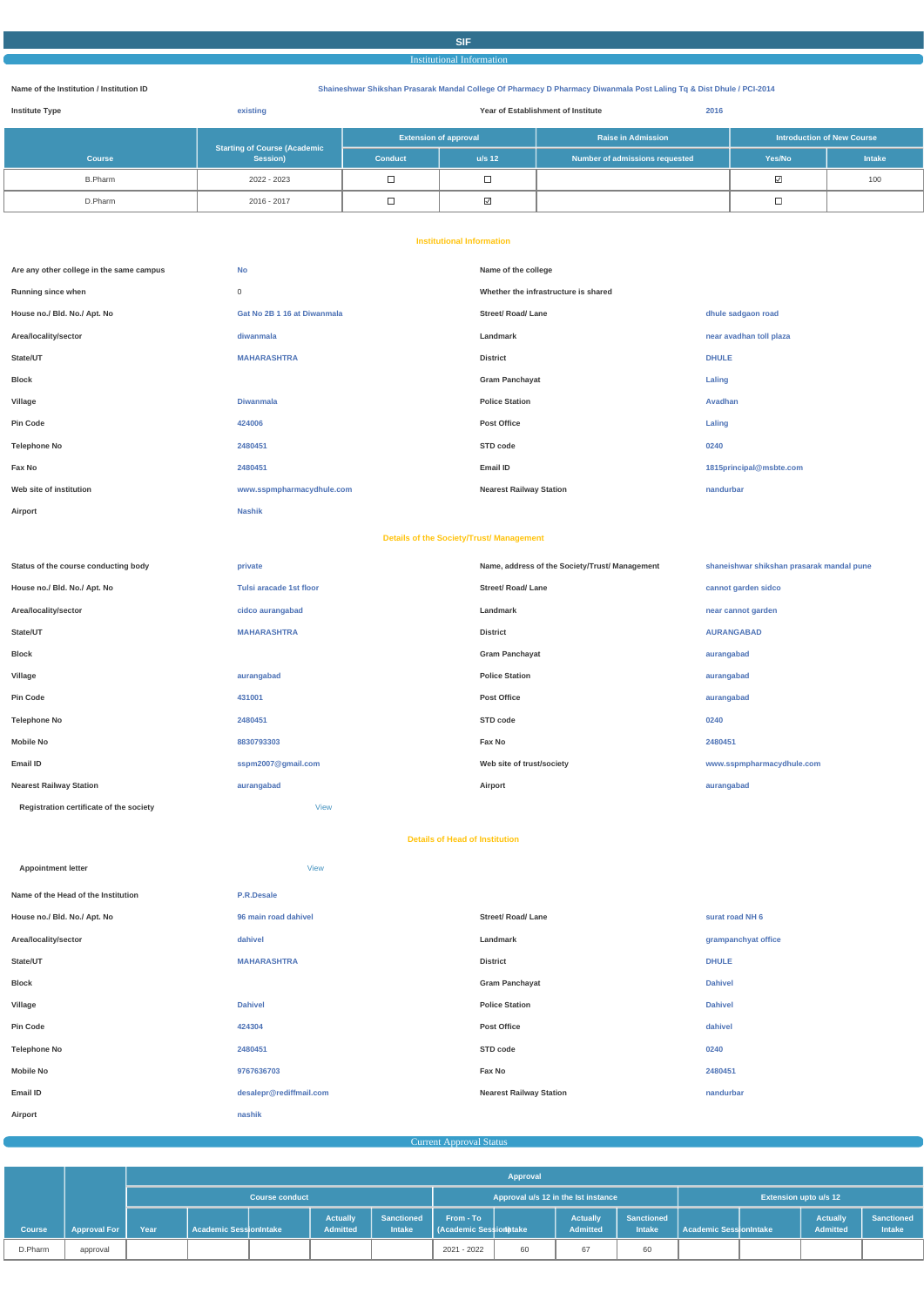# **SIF**

#### Institutional Information

#### **Name of the Institution / Institution ID Shaineshwar Shikshan Prasarak Mandal College Of Pharmacy D Pharmacy Diwanmala Post Laling Tq & Dist Dhule / PCI-2014**

| <b>Institute Type</b> | existing                                        | 2016<br>Year of Establishment of Institute |          |                                |                 |                                   |
|-----------------------|-------------------------------------------------|--------------------------------------------|----------|--------------------------------|-----------------|-----------------------------------|
|                       |                                                 | <b>Extension of approval</b>               |          | <b>Raise in Admission</b>      |                 | <b>Introduction of New Course</b> |
| <b>Course</b>         | <b>Starting of Course (Academic</b><br>Session) | <b>Conduct</b>                             | $u/s$ 12 | Number of admissions requested | Yes/No          | <b>Intake</b>                     |
| <b>B.Pharm</b>        | 2022 - 2023                                     | ᆸ                                          |          |                                | $\triangledown$ | 100                               |
| D.Pharm               | 2016 - 2017                                     | ┙                                          | ⊻        |                                |                 |                                   |

#### **Institutional Information**

| Are any other college in the same campus | <b>No</b>                   | Name of the college                  |                         |
|------------------------------------------|-----------------------------|--------------------------------------|-------------------------|
| Running since when                       | 0                           | Whether the infrastructure is shared |                         |
| House no./ Bld. No./ Apt. No             | Gat No 2B 1 16 at Diwanmala | <b>Street/ Road/ Lane</b>            | dhule sadgaon road      |
| Area/locality/sector                     | diwanmala                   | Landmark                             | near avadhan toll plaza |
| State/UT                                 | <b>MAHARASHTRA</b>          | <b>District</b>                      | <b>DHULE</b>            |
| <b>Block</b>                             |                             | <b>Gram Panchayat</b>                | Laling                  |
| Village                                  | <b>Diwanmala</b>            | <b>Police Station</b>                | Avadhan                 |
| <b>Pin Code</b>                          | 424006                      | <b>Post Office</b>                   | Laling                  |
| <b>Telephone No</b>                      | 2480451                     | STD code                             | 0240                    |
| Fax No                                   | 2480451                     | Email ID                             | 1815principal@msbte.com |
| Web site of institution                  | www.sspmpharmacydhule.com   | <b>Nearest Railway Station</b>       | nandurbar               |
| Airport                                  | <b>Nashik</b>               |                                      |                         |

#### **Details of the Society/Trust/ Management**

| Status of the course conducting body    | private                 | Name, address of the Society/Trust/ Management | shaneishwar shikshan prasarak mandal pune |
|-----------------------------------------|-------------------------|------------------------------------------------|-------------------------------------------|
| House no./ Bld. No./ Apt. No            | Tulsi aracade 1st floor | <b>Street/ Road/ Lane</b>                      | cannot garden sidco                       |
| Area/locality/sector                    | cidco aurangabad        | Landmark                                       | near cannot garden                        |
| State/UT                                | <b>MAHARASHTRA</b>      | <b>District</b>                                | <b>AURANGABAD</b>                         |
| Block                                   |                         | <b>Gram Panchayat</b>                          | aurangabad                                |
| Village                                 | aurangabad              | <b>Police Station</b>                          | aurangabad                                |
| Pin Code                                | 431001                  | <b>Post Office</b>                             | aurangabad                                |
| Telephone No                            | 2480451                 | STD code                                       | 0240                                      |
| Mobile No                               | 8830793303              | Fax No                                         | 2480451                                   |
| Email ID                                | sspm2007@gmail.com      | Web site of trust/society                      | www.sspmpharmacydhule.com                 |
| <b>Nearest Railway Station</b>          | aurangabad              | Airport                                        | aurangabad                                |
| Registration certificate of the society | <b>View</b>             |                                                |                                           |

| <b>Regionation</b> occurrence of the society | <b>VIG VV</b>        |                                       |                     |
|----------------------------------------------|----------------------|---------------------------------------|---------------------|
|                                              |                      | <b>Details of Head of Institution</b> |                     |
| <b>Appointment letter</b>                    | <b>View</b>          |                                       |                     |
| Name of the Head of the Institution          | P.R.Desale           |                                       |                     |
| House no./ Bld. No./ Apt. No                 | 96 main road dahivel | <b>Street/ Road/ Lane</b>             | surat road NH 6     |
| Area/locality/sector                         | dahivel              | Landmark                              | grampanchyat office |
| State/UT                                     | <b>MAHARASHTRA</b>   | <b>District</b>                       | <b>DHULE</b>        |
|                                              |                      |                                       |                     |

**Block Gram Panchayat Dahivel**

| Village             | <b>Dahivel</b>          | <b>Police Station</b>          | <b>Dahivel</b> |
|---------------------|-------------------------|--------------------------------|----------------|
| Pin Code            | 424304                  | <b>Post Office</b>             | dahivel        |
| <b>Telephone No</b> | 2480451                 | STD code                       | 0240           |
| <b>Mobile No</b>    | 9767636703              | Fax No                         | 2480451        |
| Email ID            | desalepr@rediffmail.com | <b>Nearest Railway Station</b> | nandurbar      |
| Airport             | nashik                  |                                |                |

Current Approval Status

|               |                     |                       | Approval                 |  |                                     |                                    |                                     |                              |                                    |                                    |                               |  |                             |                             |
|---------------|---------------------|-----------------------|--------------------------|--|-------------------------------------|------------------------------------|-------------------------------------|------------------------------|------------------------------------|------------------------------------|-------------------------------|--|-----------------------------|-----------------------------|
|               |                     | <b>Course conduct</b> |                          |  | Approval u/s 12 in the lst instance |                                    |                                     | <b>Extension upto u/s 12</b> |                                    |                                    |                               |  |                             |                             |
| <b>Course</b> | <b>Approval For</b> | Year                  | l Academic SessionIntake |  | <b>Actually</b><br><b>Admitted</b>  | <b>Sanctioned</b><br><b>Intake</b> | From - To<br>(Academic Session take |                              | <b>Actually</b><br><b>Admitted</b> | <b>Sanctioned</b><br><b>Intake</b> | <b>Academic SessionIntake</b> |  | <b>Actually</b><br>Admitted | <b>Sanctioned</b><br>Intake |
| D.Pharm       | approval            |                       |                          |  |                                     |                                    | 2021 - 2022                         | 60                           | 67                                 | 60                                 |                               |  |                             |                             |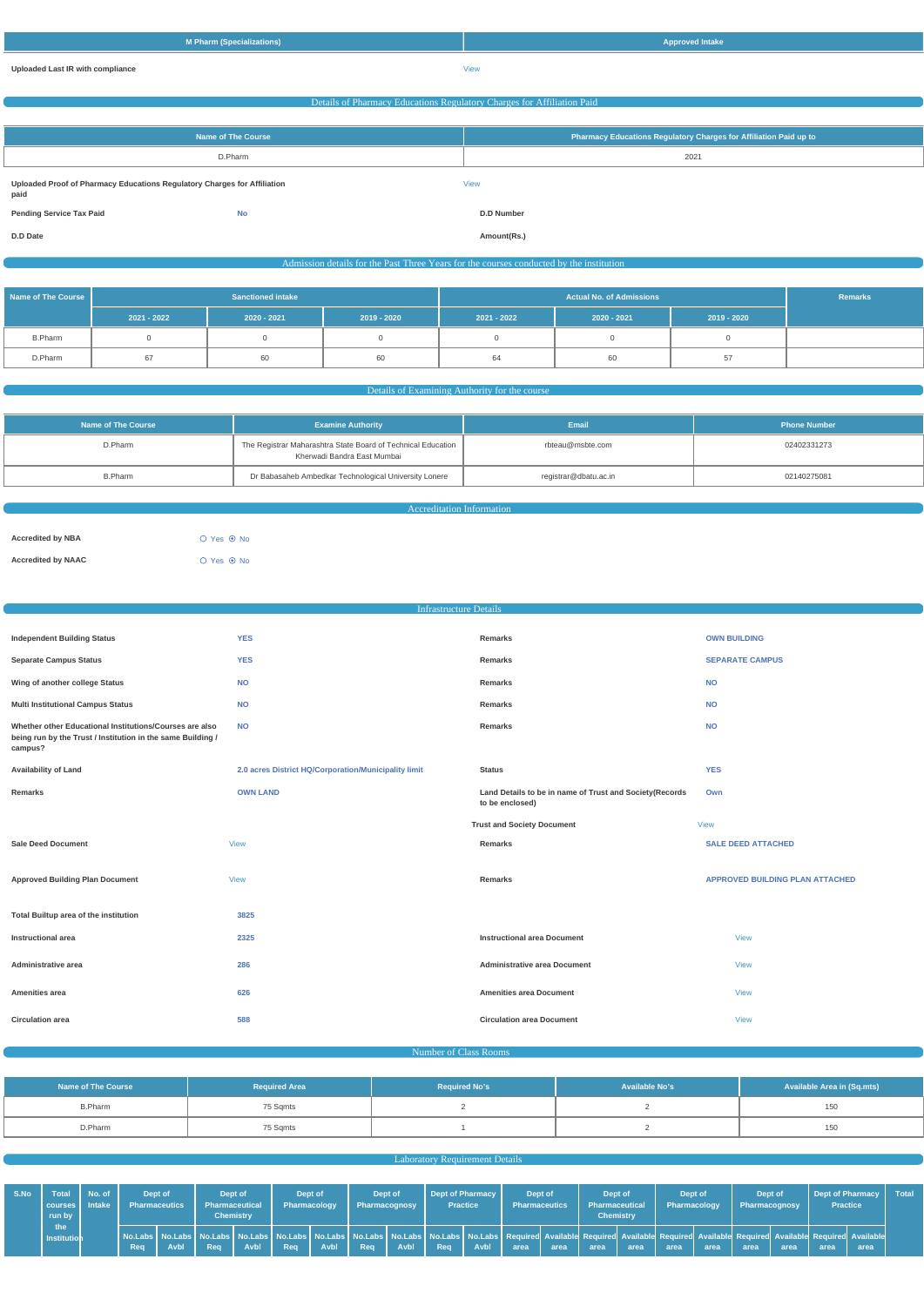| M Pharm (Specializations)               | <b>Approved Intake</b> |
|-----------------------------------------|------------------------|
| <b>Uploaded Last IR with compliance</b> | View                   |

# Details of Pharmacy Educations Regulatory Charges for Affiliation Paid **Name of The Course Pharmacy Educations Regulatory Charges for Affiliation Paid up to** D.Pharm 2021 **Uploaded Proof of Pharmacy Educations Regulatory Charges for Affiliation paid** [View](https://dgpm.nic.in/institute/getmongoPdfFile.do?renreceiptid=b66daef2-76af-4ded-a5ac-206219eb77d7&tablename=afficiationfee) **Pending Service Tax Paid No D.D Number D.D Date Amount(Rs.)** Admission details for the Past Three Years for the courses conducted by the institution **Name of The Course Sanctioned intake Actual No. of Admissions Actual No. of Admissions 2021 - 2022 2020 - 2021 2019 - 2020 2021 - 2022 2020 - 2021 2019 - 2020** B.Pharm | 0 0 | 0 0 | 0 0 | 0 0 | 0 0 | 0 D.Pharm | 67 | 60 | 60 | 60 | 64 | 60 | 57

#### Details of Examining Authority for the cours

| Name of The Course | Email<br><b>Examine Authority</b>                                                           |                       | <b>Phone Number</b> |
|--------------------|---------------------------------------------------------------------------------------------|-----------------------|---------------------|
| D.Pharm            | The Registrar Maharashtra State Board of Technical Education<br>Kherwadi Bandra East Mumbai | rbteau@msbte.com      | 02402331273         |
| B.Pharm            | Dr Babasaheb Ambedkar Technological University Lonere                                       | registrar@dbatu.ac.in | 02140275081         |

Accreditation Information

| <b>Accredited by NBA</b>  | $O$ Yes $\odot$ No |
|---------------------------|--------------------|
| <b>Accredited by NAAC</b> | $O$ Yes $\odot$ No |

| <b>Infrastructure Details</b>                                                                                                     |                                                      |                                                                            |                                        |  |  |
|-----------------------------------------------------------------------------------------------------------------------------------|------------------------------------------------------|----------------------------------------------------------------------------|----------------------------------------|--|--|
|                                                                                                                                   |                                                      |                                                                            |                                        |  |  |
| <b>Independent Building Status</b>                                                                                                | <b>YES</b>                                           | Remarks                                                                    | <b>OWN BUILDING</b>                    |  |  |
| <b>Separate Campus Status</b>                                                                                                     | <b>YES</b>                                           | Remarks                                                                    | <b>SEPARATE CAMPUS</b>                 |  |  |
| Wing of another college Status                                                                                                    | <b>NO</b>                                            | Remarks                                                                    | <b>NO</b>                              |  |  |
| <b>Multi Institutional Campus Status</b>                                                                                          | <b>NO</b>                                            | Remarks                                                                    | <b>NO</b>                              |  |  |
| Whether other Educational Institutions/Courses are also<br>being run by the Trust / Institution in the same Building /<br>campus? | <b>NO</b>                                            | Remarks                                                                    | <b>NO</b>                              |  |  |
| <b>Availability of Land</b>                                                                                                       | 2.0 acres District HQ/Corporation/Municipality limit | <b>Status</b>                                                              | <b>YES</b>                             |  |  |
| Remarks                                                                                                                           | <b>OWN LAND</b>                                      | Land Details to be in name of Trust and Society(Records<br>to be enclosed) | Own                                    |  |  |
|                                                                                                                                   |                                                      | <b>Trust and Society Document</b>                                          | <b>View</b>                            |  |  |
| <b>Sale Deed Document</b>                                                                                                         | <b>View</b>                                          | Remarks                                                                    | <b>SALE DEED ATTACHED</b>              |  |  |
| <b>Approved Building Plan Document</b>                                                                                            | <b>View</b>                                          | Remarks                                                                    | <b>APPROVED BUILDING PLAN ATTACHED</b> |  |  |
| Total Builtup area of the institution                                                                                             | 3825                                                 |                                                                            |                                        |  |  |
| <b>Instructional area</b>                                                                                                         | 2325                                                 | <b>Instructional area Document</b>                                         | <b>View</b>                            |  |  |
| Administrative area                                                                                                               | 286                                                  | <b>Administrative area Document</b>                                        | <b>View</b>                            |  |  |

| Amenities area          | 626 | <b>Amenities area Document</b>   |         |
|-------------------------|-----|----------------------------------|---------|
| <b>Circulation area</b> | 588 | <b>Circulation area Document</b> | $V$ iew |

#### Number of Class Rooms

| Name of The Course | <b>Required Area</b> | <b>Required No's</b> | <b>Available No's</b> | <b>Available Area in (Sq.mts)</b> |
|--------------------|----------------------|----------------------|-----------------------|-----------------------------------|
| <b>B.Pharm</b>     | 75 Sqmts             |                      |                       | 150                               |
| D.Pharm            | 75 Sqmts             |                      |                       | 150                               |

#### **Laboratory Requirement Details**

| S.No | <b>Total</b><br>  courses   Intake  <br>run by | No. of |     | Dept of<br><b>Pharmaceutics</b> | Dept of<br><b>Pharmaceutical</b> | <b>Chemistry</b> | Pharmacology | Dept of |            | Dept of<br>Pharmacognosy |     | <b>Dept of Pharmacy</b><br><b>Practice</b> | <b>Pharmaceutics</b> | Dept of | Dept of<br><b>Pharmaceutical</b><br><b>Chemistry</b> |      | Dept of<br>Pharmacology |      | Dept of<br>Pharmacognosy                                                                                                                                                                                                               |      | Dept of Pharmacy<br><b>Practice</b> |      | Total |
|------|------------------------------------------------|--------|-----|---------------------------------|----------------------------------|------------------|--------------|---------|------------|--------------------------|-----|--------------------------------------------|----------------------|---------|------------------------------------------------------|------|-------------------------|------|----------------------------------------------------------------------------------------------------------------------------------------------------------------------------------------------------------------------------------------|------|-------------------------------------|------|-------|
|      | the<br>Institution                             |        | Req | Avbl                            | Real                             | <b>Avbl</b>      | Reg          | Avbl    | <b>Rea</b> | Avbl                     | Reg | Avbl                                       | area                 | area    | area                                                 | area | area                    | area | No.Labs   No.Labs   No.Labs   No.Labs   No.Labs   No.Labs   No.Labs   No.Labs   No.Labs   No.Labs   Required Available Required Available Required Available Required Available Required Available Required Available Required<br>area | area | area                                | area |       |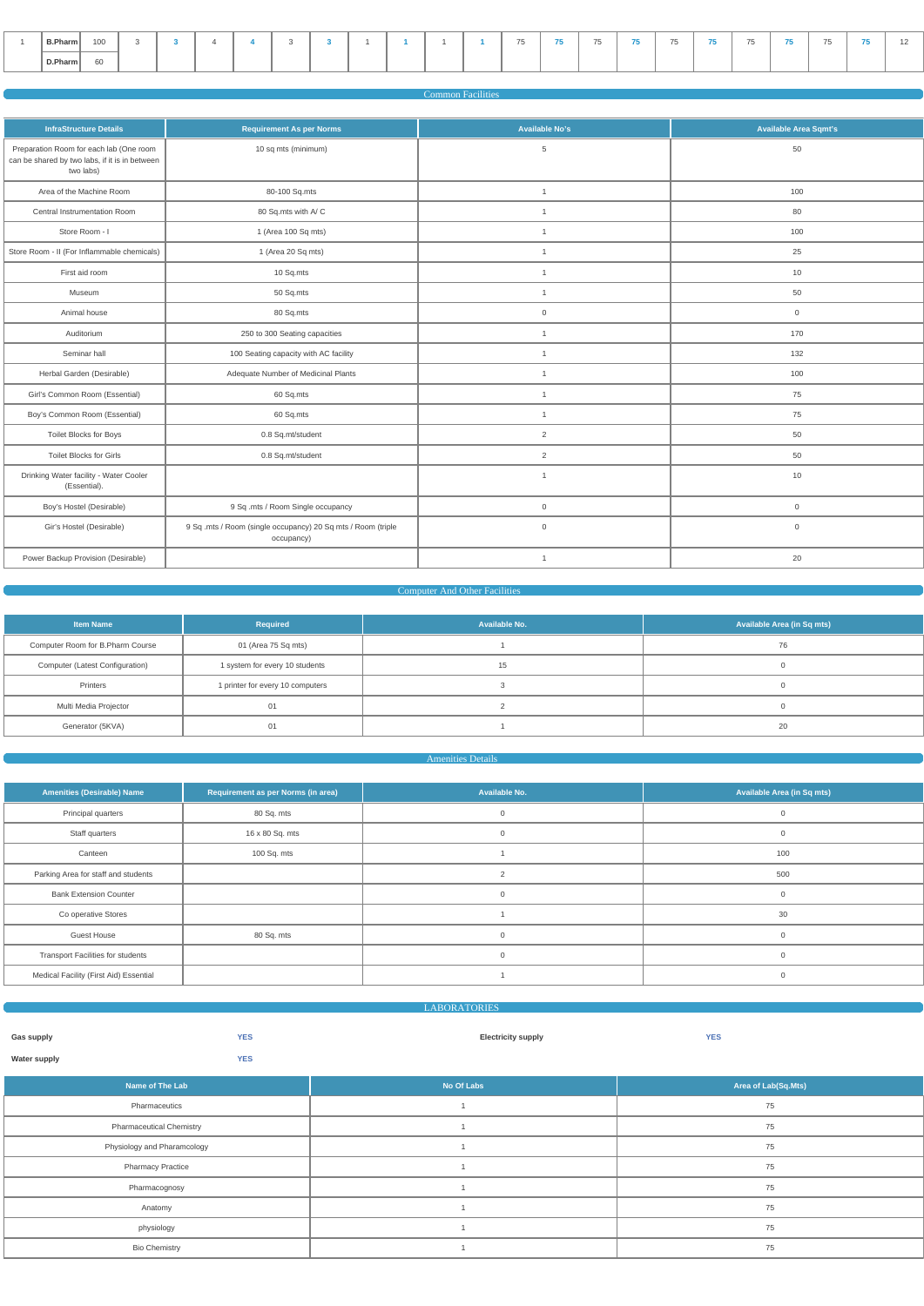| B.Pharm | 100 |  |  |  |  |  | -- | $\overline{a}$<br>ـ ب | . . | $\sim$<br>$\sim$ | $- -$ | $- -$<br>7 U | . . |  |
|---------|-----|--|--|--|--|--|----|-----------------------|-----|------------------|-------|--------------|-----|--|
| D.Pharm | 60  |  |  |  |  |  |    |                       |     |                  |       |              |     |  |

#### Common Facilities

| <b>InfraStructure Details</b>                                                                          | <b>Requirement As per Norms</b>                                            | <b>Available No's</b> | <b>Available Area Sqmt's</b> |
|--------------------------------------------------------------------------------------------------------|----------------------------------------------------------------------------|-----------------------|------------------------------|
| Preparation Room for each lab (One room<br>can be shared by two labs, if it is in between<br>two labs) | 10 sq mts (minimum)                                                        | 5                     | 50                           |
| Area of the Machine Room                                                                               | 80-100 Sq.mts                                                              | $\mathbf{1}$          | 100                          |
| Central Instrumentation Room                                                                           | 80 Sq.mts with A/C                                                         | $\mathbf{1}$          | 80                           |
| Store Room - I                                                                                         | 1 (Area 100 Sq mts)                                                        | $\mathbf{1}$          | 100                          |
| Store Room - II (For Inflammable chemicals)                                                            | 1 (Area 20 Sq mts)                                                         | $\mathbf{1}$          | 25                           |
| First aid room                                                                                         | 10 Sq.mts                                                                  | $\mathbf{1}$          | 10                           |
| Museum                                                                                                 | 50 Sq.mts                                                                  | $\mathbf{1}$          | 50                           |
| Animal house                                                                                           | 80 Sq.mts                                                                  | $\mathbf 0$           | $\overline{0}$               |
| Auditorium                                                                                             | 250 to 300 Seating capacities                                              | $\mathbf{1}$          | 170                          |
| Seminar hall                                                                                           | 100 Seating capacity with AC facility                                      | $\overline{1}$        | 132                          |
| Herbal Garden (Desirable)                                                                              | Adequate Number of Medicinal Plants                                        | $\mathbf{1}$          | 100                          |
| Girl's Common Room (Essential)                                                                         | 60 Sq.mts                                                                  | $\overline{1}$        | 75                           |
| Boy's Common Room (Essential)                                                                          | 60 Sq.mts                                                                  | $\overline{1}$        | 75                           |
| Toilet Blocks for Boys                                                                                 | 0.8 Sq.mt/student                                                          | $\overline{2}$        | 50                           |
| <b>Toilet Blocks for Girls</b>                                                                         | 0.8 Sq.mt/student                                                          | $\overline{2}$        | 50                           |
| Drinking Water facility - Water Cooler<br>(Essential).                                                 |                                                                            | $\overline{1}$        | 10                           |
| Boy's Hostel (Desirable)                                                                               | 9 Sq .mts / Room Single occupancy                                          | $\mathbb O$           | $\overline{0}$               |
| Gir's Hostel (Desirable)                                                                               | 9 Sq .mts / Room (single occupancy) 20 Sq mts / Room (triple<br>occupancy) | $\mathbf 0$           | $\mathbf 0$                  |
| Power Backup Provision (Desirable)                                                                     |                                                                            | $\mathbf{1}$          | 20                           |

# **Computer And Other Facilities**

| <b>Item Name</b>                 | <b>Required</b>                  | Available No. | Available Area (in Sq mts) |
|----------------------------------|----------------------------------|---------------|----------------------------|
| Computer Room for B.Pharm Course | 01 (Area 75 Sq mts)              |               | 76                         |
| Computer (Latest Configuration)  | 1 system for every 10 students   | 15            |                            |
| Printers                         | 1 printer for every 10 computers |               |                            |
| Multi Media Projector            | 01                               |               |                            |
| Generator (5KVA)                 | 01                               |               | 20                         |

# Amenities Details

| <b>Amenities (Desirable) Name</b>        | Requirement as per Norms (in area) | Available No.  | <b>Available Area (in Sq mts)</b> |
|------------------------------------------|------------------------------------|----------------|-----------------------------------|
| Principal quarters                       | 80 Sq. mts                         |                | $\Omega$                          |
| Staff quarters                           | 16 x 80 Sq. mts                    | $\mathbf 0$    | $\mathbf{0}$                      |
| Canteen                                  | 100 Sq. mts                        |                | 100                               |
| Parking Area for staff and students      |                                    | $\overline{2}$ | 500                               |
| <b>Bank Extension Counter</b>            |                                    | $\Omega$       | $\Omega$                          |
| Co operative Stores                      |                                    |                | 30                                |
| <b>Guest House</b>                       | 80 Sq. mts                         | $\Omega$       | $\mathbf{0}$                      |
| <b>Transport Facilities for students</b> |                                    |                | $\mathbf{0}$                      |
| Medical Facility (First Aid) Essential   |                                    |                | $\Omega$                          |

# LABORATORIES

| Gas supply          | <b>YES</b>       | <b>Electricity supply</b> | <b>YES</b> |
|---------------------|------------------|---------------------------|------------|
| <b>Water supply</b> | <b>YES</b><br>__ |                           |            |

| Name of The Lab                 | No Of Labs | Area of Lab(Sq.Mts) |
|---------------------------------|------------|---------------------|
| Pharmaceutics                   |            | 75                  |
| <b>Pharmaceutical Chemistry</b> |            | 75                  |
| Physiology and Pharamcology     |            | 75                  |
| <b>Pharmacy Practice</b>        |            | 75                  |
| Pharmacognosy                   |            | 75                  |
| Anatomy                         |            | 75                  |
| physiology                      |            | 75                  |
| <b>Bio Chemistry</b>            |            | 75                  |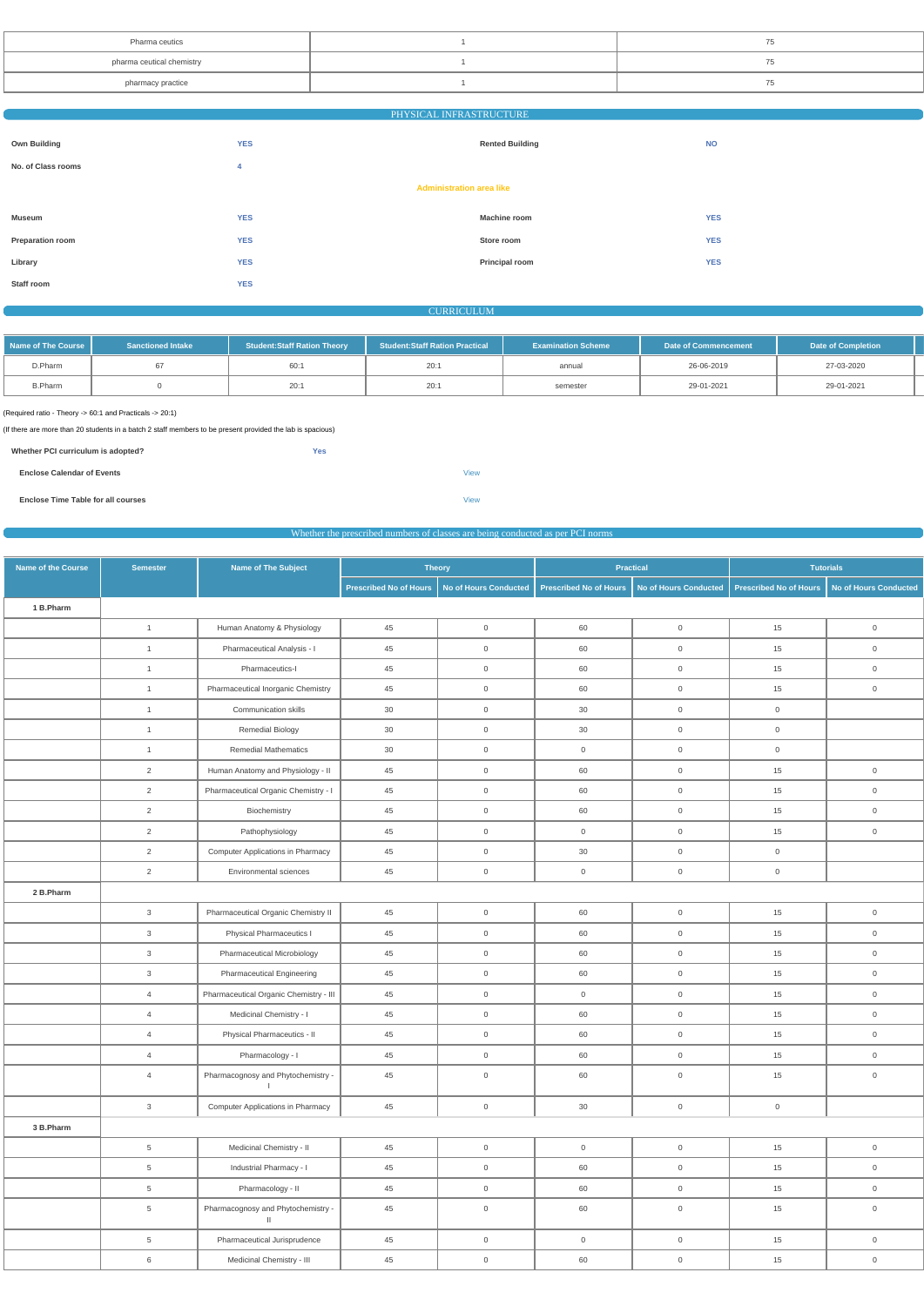| Pharma ceutics            |  |
|---------------------------|--|
| pharma ceutical chemistry |  |
| pharmacy practice         |  |

| PHYSICAL INFRASTRUCTURE |
|-------------------------|
|-------------------------|

| <b>Own Building</b>             | <b>YES</b> | <b>Rented Building</b> | <b>NO</b>  |  |  |  |  |
|---------------------------------|------------|------------------------|------------|--|--|--|--|
| No. of Class rooms              | 4          |                        |            |  |  |  |  |
| <b>Administration area like</b> |            |                        |            |  |  |  |  |
| Museum                          | <b>YES</b> | <b>Machine room</b>    | <b>YES</b> |  |  |  |  |
| Preparation room                | <b>YES</b> | Store room             | <b>YES</b> |  |  |  |  |
| Library                         | <b>YES</b> | Principal room         | <b>YES</b> |  |  |  |  |
| Staff room                      | <b>YES</b> |                        |            |  |  |  |  |

**CURRICULUM** 

| Name of The Course I | <b>Sanctioned Intake</b> | <b>Student:Staff Ration Theory</b> | <b>Student:Staff Ration Practical</b> | <b>Examination Scheme</b> | Date of Commencement | <b>Date of Completion</b> |  |
|----------------------|--------------------------|------------------------------------|---------------------------------------|---------------------------|----------------------|---------------------------|--|
| D.Pharm              |                          | 60:1                               | 20:1                                  | annual                    | 26-06-2019           | 27-03-2020                |  |
| <b>B.Pharm</b>       |                          | 20:1                               | 20:1                                  | semester                  | 29-01-2021           | 29-01-2021                |  |

(Required ratio - Theory -> 60:1 and Practicals -> 20:1)

(If there are more than 20 students in a batch 2 staff members to be present provided the lab is spacious)

| Whether PCI curriculum is adopted? | Yes |             |
|------------------------------------|-----|-------------|
| <b>Enclose Calendar of Events</b>  |     | <b>View</b> |
| Enclose Time Table for all courses |     | <b>View</b> |

| Whether the prescribed numbers of classes are being conducted as per PCI norms |  |  |  |  |
|--------------------------------------------------------------------------------|--|--|--|--|
|--------------------------------------------------------------------------------|--|--|--|--|

| Name of the Course | <b>Semester</b> | <b>Name of The Subject</b>                    |                        | <b>Theory</b>         |                     | <b>Practical</b>                               |                        | <b>Tutorials</b>             |
|--------------------|-----------------|-----------------------------------------------|------------------------|-----------------------|---------------------|------------------------------------------------|------------------------|------------------------------|
|                    |                 |                                               | Prescribed No of Hours | No of Hours Conducted |                     | Prescribed No of Hours   No of Hours Conducted | Prescribed No of Hours | <b>No of Hours Conducted</b> |
| 1 B.Pharm          |                 |                                               |                        |                       |                     |                                                |                        |                              |
|                    | $\mathbf{1}$    | Human Anatomy & Physiology                    | 45                     | $\mathsf 0$           | 60                  | $\overline{0}$                                 | 15                     | $\overline{0}$               |
|                    | $\overline{1}$  | Pharmaceutical Analysis - I                   | 45                     | $\mathsf{O}\xspace$   | 60                  | $\mathsf{O}\xspace$                            | 15                     | $\overline{0}$               |
|                    | $\overline{1}$  | Pharmaceutics-I                               | 45                     | $\mathbf 0$           | 60                  | $\mathsf{O}\xspace$                            | 15                     | $\mathsf{O}\xspace$          |
|                    | $\overline{1}$  | Pharmaceutical Inorganic Chemistry            | 45                     | $\mathbf 0$           | 60                  | $\mathsf 0$                                    | 15                     | $\overline{0}$               |
|                    | $\overline{1}$  | Communication skills                          | 30                     | $\mathsf{O}\xspace$   | 30                  | $\mathsf{O}\xspace$                            | $\overline{0}$         |                              |
|                    | $\mathbf{1}$    | <b>Remedial Biology</b>                       | 30                     | $\mathsf{O}\xspace$   | 30                  | $\mathsf{O}\xspace$                            | $\overline{0}$         |                              |
|                    | $\overline{1}$  | <b>Remedial Mathematics</b>                   | 30                     | $\mathsf 0$           | $\overline{0}$      | $\overline{0}$                                 | $\overline{0}$         |                              |
|                    | $\overline{2}$  | Human Anatomy and Physiology - II             | 45                     | $\mathsf 0$           | 60                  | $\overline{0}$                                 | 15                     | $\overline{0}$               |
|                    | $\overline{2}$  | Pharmaceutical Organic Chemistry - I          | 45                     | $\mathsf 0$           | 60                  | $\overline{0}$                                 | 15                     | $\overline{0}$               |
|                    | $\overline{2}$  | Biochemistry                                  | 45                     | $\mathsf 0$           | 60                  | $\overline{0}$                                 | 15                     | $\overline{0}$               |
|                    | $\overline{2}$  | Pathophysiology                               | 45                     | $\mathsf 0$           | $\overline{0}$      | $\mathsf 0$                                    | 15                     | $\overline{0}$               |
|                    | $\overline{2}$  | <b>Computer Applications in Pharmacy</b>      | 45                     | $\mathsf 0$           | 30                  | $\overline{0}$                                 | $\overline{0}$         |                              |
|                    | $\overline{2}$  | Environmental sciences                        | 45                     | $\mathsf{O}\xspace$   | $\overline{0}$      | $\overline{0}$                                 | $\overline{0}$         |                              |
| 2 B.Pharm          |                 |                                               |                        |                       |                     |                                                |                        |                              |
|                    | $\mathbf{3}$    | Pharmaceutical Organic Chemistry II           | 45                     | $\mathsf{O}\xspace$   | 60                  | $\mathsf 0$                                    | 15                     | $\overline{0}$               |
|                    | $\mathbf{3}$    | Physical Pharmaceutics I                      | 45                     | $\mathsf 0$           | 60                  | $\mathsf{O}\xspace$                            | 15                     | $\overline{0}$               |
|                    | $\mathbf{3}$    | Pharmaceutical Microbiology                   | 45                     | $\mathsf{O}\xspace$   | 60                  | $\overline{0}$                                 | 15                     | $\mathsf{O}\xspace$          |
|                    | $\mathbf{3}$    | <b>Pharmaceutical Engineering</b>             | 45                     | $\mathsf 0$           | 60                  | $\overline{0}$                                 | 15                     | $\overline{0}$               |
|                    | $\overline{4}$  | Pharmaceutical Organic Chemistry - III        | 45                     | $\mathsf 0$           | $\overline{0}$      | $\overline{0}$                                 | 15                     | $\overline{0}$               |
|                    | $\overline{4}$  | Medicinal Chemistry - I                       | 45                     | $\mathsf 0$           | 60                  | $\mathsf{O}\xspace$                            | 15                     | $\mathsf{O}\xspace$          |
|                    | $\overline{4}$  | Physical Pharmaceutics - II                   | 45                     | $\mathsf{O}\xspace$   | 60                  | $\mathsf 0$                                    | 15                     | $\overline{0}$               |
|                    | $\overline{4}$  | Pharmacology - I                              | 45                     | $\boldsymbol{0}$      | 60                  | $\mathsf{O}\xspace$                            | 15                     | $\overline{0}$               |
|                    | $\overline{4}$  | Pharmacognosy and Phytochemistry -<br>$\perp$ | $45\,$                 | $\mathsf{O}\xspace$   | 60                  | $\mathsf{O}\xspace$                            | 15                     | $\mathsf{O}\xspace$          |
|                    | 3 <sup>1</sup>  | <b>Computer Applications in Pharmacy</b>      | 45                     | $\mathsf{O}\xspace$   | 30                  | $\mathsf{O}$                                   | $\mathsf{O}\xspace$    |                              |
| 3 B.Pharm          |                 |                                               |                        |                       |                     |                                                |                        |                              |
|                    | $5\overline{)}$ | Medicinal Chemistry - II                      | 45                     | $\mathsf{O}\xspace$   | $\mathsf{O}\xspace$ | $\mathsf{O}$                                   | 15                     | $\mathsf{O}\xspace$          |
|                    | $5\overline{)}$ | Industrial Pharmacy - I                       | $45\,$                 | $\mathbf 0$           | 60                  | $\overline{0}$                                 | 15                     | $\overline{0}$               |
|                    | $5\overline{)}$ | Pharmacology - II                             | 45                     | $\mathsf{O}\xspace$   | 60                  | $\mathsf{O}$                                   | 15                     | $\mathsf{O}$                 |
|                    | $5\overline{)}$ | Pharmacognosy and Phytochemistry -<br>$\,$ II | 45                     | $\mathsf{O}\xspace$   | 60                  | $\mathsf{O}\xspace$                            | 15                     | $\mathsf{O}\xspace$          |
|                    | $5\overline{)}$ | Pharmaceutical Jurisprudence                  | 45                     | $\mathsf{O}\xspace$   | $\overline{0}$      | $\mathsf{O}\xspace$                            | 15                     | $\overline{0}$               |
|                    | 6               | Medicinal Chemistry - III                     | $45\,$                 | $\overline{0}$        | 60                  | $\overline{0}$                                 | 15                     | $\mathsf{O}$                 |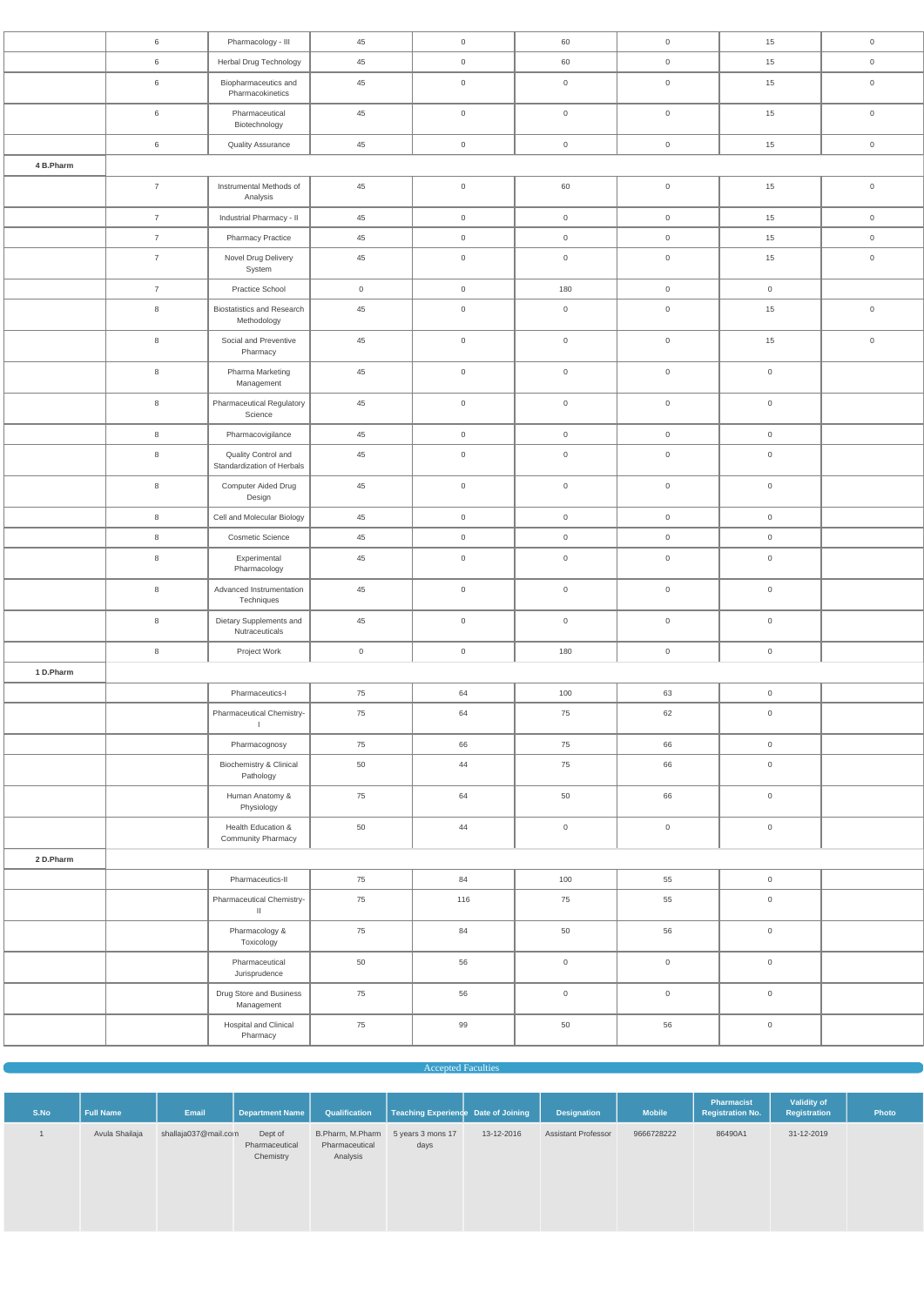|           | 6               | Pharmacology - III                                | 45             | $\overline{0}$      | 60                  | $\overline{0}$      | 15                  | $\mathsf{O}\xspace$ |
|-----------|-----------------|---------------------------------------------------|----------------|---------------------|---------------------|---------------------|---------------------|---------------------|
|           | $6\phantom{.}6$ | Herbal Drug Technology                            | 45             | $\overline{0}$      | 60                  | $\overline{0}$      | 15                  | $\mathsf{O}\xspace$ |
|           | 6               | Biopharmaceutics and<br>Pharmacokinetics          | $45\,$         | $\overline{0}$      | $\mathbf 0$         | $\overline{0}$      | 15                  | $\overline{0}$      |
|           | 6               | Pharmaceutical<br>Biotechnology                   | 45             | $\overline{0}$      | $\mathbb O$         | $\mathsf{O}\xspace$ | 15                  | $\mathsf{O}$        |
|           | $6\,$           | <b>Quality Assurance</b>                          | $45\,$         | $\overline{0}$      | $\mathsf{O}\xspace$ | $\overline{0}$      | 15                  | $\mathsf{O}\xspace$ |
| 4 B.Pharm |                 |                                                   |                |                     |                     |                     |                     |                     |
|           | $\overline{7}$  | Instrumental Methods of<br>Analysis               | 45             | $\overline{0}$      | 60                  | $\mathsf{O}\xspace$ | 15                  | $\mathsf 0$         |
|           | $\overline{7}$  | Industrial Pharmacy - II                          | 45             | $\overline{0}$      | $\mathsf{O}\xspace$ | $\overline{0}$      | 15                  | $\mathsf{O}\xspace$ |
|           | $\overline{7}$  | <b>Pharmacy Practice</b>                          | 45             | $\overline{0}$      | $\overline{0}$      | $\overline{0}$      | 15                  | $\mathsf{O}\xspace$ |
|           | $\overline{7}$  | Novel Drug Delivery<br>System                     | 45             | $\overline{0}$      | $\overline{0}$      | $\overline{0}$      | 15                  | $\mathsf{O}\xspace$ |
|           | $\overline{7}$  | Practice School                                   | $\overline{0}$ | $\overline{0}$      | 180                 | $\overline{0}$      | $\mathsf{O}\xspace$ |                     |
|           | 8               | <b>Biostatistics and Research</b><br>Methodology  | $45\,$         | $\mathsf 0$         | $\mathsf{O}\xspace$ | $\mathsf{O}\xspace$ | 15                  | $\mathsf{O}\xspace$ |
|           | $\,8\,$         | Social and Preventive<br>Pharmacy                 | 45             | $\mathsf 0$         | $\mathbf 0$         | $\mathsf{O}\xspace$ | 15                  | $\mathsf{O}$        |
|           | 8               | Pharma Marketing<br>Management                    | $45\,$         | $\overline{0}$      | $\mathsf{O}\xspace$ | $\mathsf{O}\xspace$ | $\mathsf{O}\xspace$ |                     |
|           | 8               | Pharmaceutical Regulatory<br>Science              | 45             | $\mathsf 0$         | $\mathbb O$         | $\mathsf{O}\xspace$ | $\mathsf{O}\xspace$ |                     |
|           | $\,8\,$         | Pharmacovigilance                                 | 45             | $\overline{0}$      | $\mathsf{O}\xspace$ | $\overline{0}$      | $\mathsf{O}\xspace$ |                     |
|           | $\,8\,$         | Quality Control and<br>Standardization of Herbals | 45             | $\mathsf{O}\xspace$ | $\overline{0}$      | $\mathsf{O}\xspace$ | $\mathsf{O}\xspace$ |                     |
|           | 8               | Computer Aided Drug<br>Design                     | 45             | $\overline{0}$      | $\overline{0}$      | $\overline{0}$      | $\mathsf{O}\xspace$ |                     |
|           | 8               | Cell and Molecular Biology                        | $45\,$         | $\overline{0}$      | $\overline{0}$      | $\overline{0}$      | $\overline{0}$      |                     |
|           | $\,8\,$         | <b>Cosmetic Science</b>                           | 45             | $\overline{0}$      | $\mathsf{O}\xspace$ | $\overline{0}$      | $\mathsf{O}\xspace$ |                     |
|           | $\,8\,$         | Experimental<br>Pharmacology                      | $45\,$         | $\mathsf{O}$        | $\mathsf{O}\xspace$ | $\mathsf{O}\xspace$ | $\mathsf{O}\xspace$ |                     |
|           | $\,8\,$         | Advanced Instrumentation<br>Techniques            | 45             | $\overline{0}$      | $\mathsf{O}\xspace$ | $\overline{0}$      | $\mathsf{O}\xspace$ |                     |
|           | $\,8\,$         | Dietary Supplements and<br>Nutraceuticals         | 45             | $\overline{0}$      | $\mathsf{O}\xspace$ | $\mathsf{O}\xspace$ | $\mathsf{O}\xspace$ |                     |
|           | $\,8\,$         | Project Work                                      | $\overline{0}$ | $\overline{0}$      | 180                 | $\overline{0}$      | $\mathsf{O}\xspace$ |                     |
| 1 D.Pharm |                 |                                                   |                |                     |                     |                     |                     |                     |
|           |                 | Pharmaceutics-I                                   | 75             | 64                  | 100                 | 63                  | $\mathsf{O}\xspace$ |                     |
|           |                 | Pharmaceutical Chemistry-<br>$\mathbf{I}$         | 75             | 64                  | 75                  | 62                  | $\mathsf{O}\xspace$ |                     |
|           |                 | Pharmacognosy                                     | 75             | 66                  | 75                  | 66                  | $\mathsf{O}\xspace$ |                     |
|           |                 | Biochemistry & Clinical<br>Pathology              | 50             | 44                  | 75                  | 66                  | $\boldsymbol{0}$    |                     |
|           |                 | Human Anatomy &<br>Physiology                     | 75             | 64                  | 50                  | 66                  | $\mathsf{O}\xspace$ |                     |
|           |                 | Health Education &<br>Community Pharmacy          | 50             | 44                  | $\mathsf{O}\xspace$ | $\overline{0}$      | $\mathsf{O}\xspace$ |                     |
| 2 D.Pharm |                 |                                                   |                |                     |                     |                     |                     |                     |
|           |                 | Pharmaceutics-II                                  | 75             | 84                  | 100                 | 55                  | $\mathsf{O}\xspace$ |                     |
|           |                 | Pharmaceutical Chemistry-<br>$\mathbf{H}$         | 75             | 116                 | 75                  | 55                  | $\mathsf{O}\xspace$ |                     |
|           |                 | Pharmacology &<br>Toxicology                      | 75             | 84                  | 50                  | 56                  | $\mathsf{O}\xspace$ |                     |
|           |                 | Pharmaceutical<br>Jurisprudence                   | 50             | 56                  | $\mathsf{O}$        | $\overline{0}$      | $\boldsymbol{0}$    |                     |

|  | Drug Store and Business<br>Management |  |  |  |
|--|---------------------------------------|--|--|--|
|  | Hospital and Clinical<br>Pharmacy     |  |  |  |

#### Accepted Faculties

| S.No | <b>Full Name</b> | <b>Email</b>         | Department Name                        | Qualification                                                    | Teaching Experience Date of Joining |            | <b>Designation</b>         | <b>Mobile</b> | Pharmacist<br><b>Registration No.</b> | Validity of<br>Registration | Photo |
|------|------------------|----------------------|----------------------------------------|------------------------------------------------------------------|-------------------------------------|------------|----------------------------|---------------|---------------------------------------|-----------------------------|-------|
|      | Avula Shailaja   | shallaja037@mail.com | Dept of<br>Pharmaceutical<br>Chemistry | B.Pharm, M.Pharm 5 years 3 mons 17<br>Pharmaceutical<br>Analysis | days                                | 13-12-2016 | <b>Assistant Professor</b> | 9666728222    | 86490A1                               | 31-12-2019                  |       |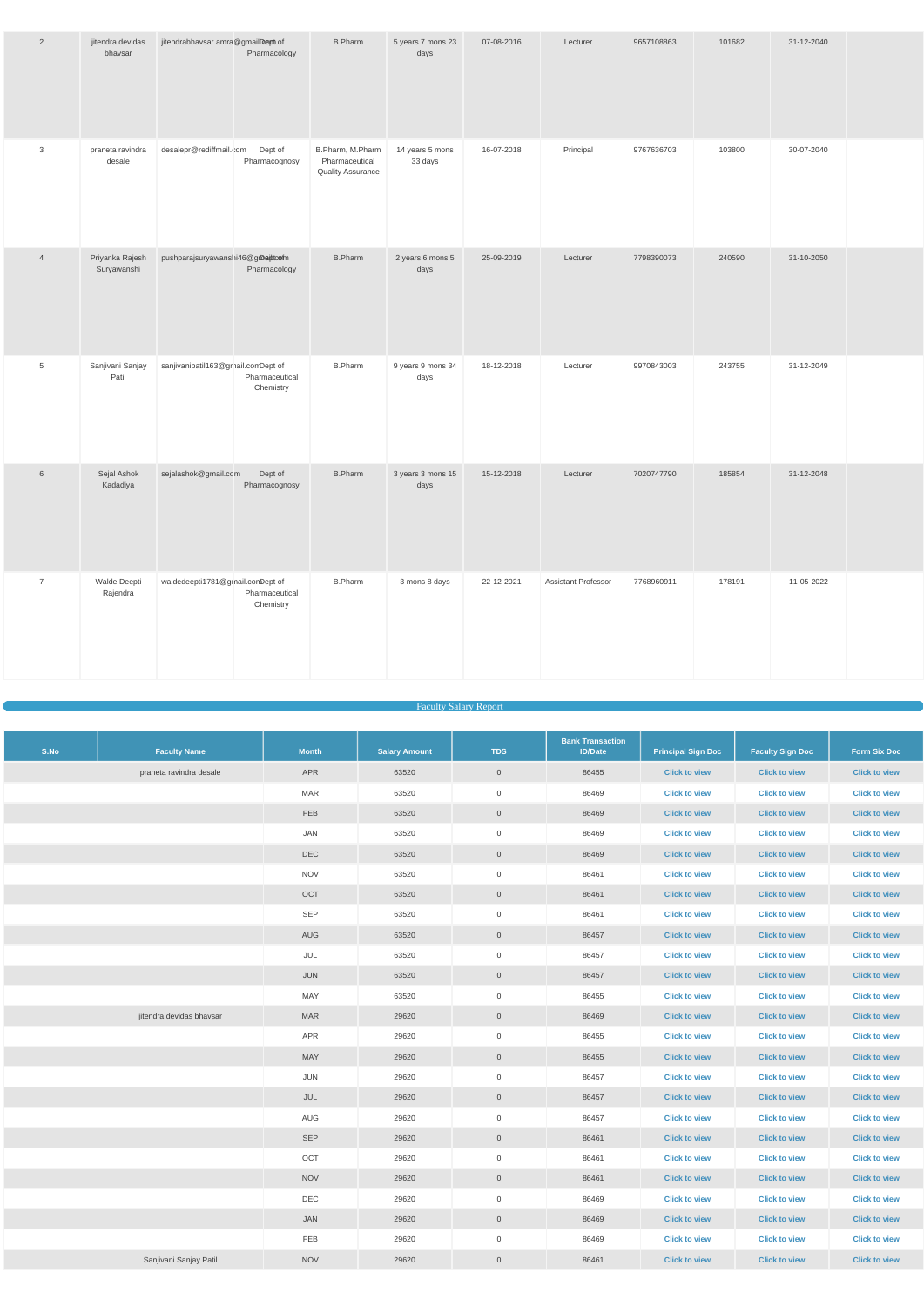| $\overline{2}$  | jitendra devidas<br>bhavsar    | jitendrabhavsar.amra@gmailDept of  | <b>B.Pharm</b><br>Pharmacology                                                             | 5 years 7 mons 23<br>days  | 07-08-2016 | Lecturer                   | 9657108863 | 101682 | 31-12-2040 |  |
|-----------------|--------------------------------|------------------------------------|--------------------------------------------------------------------------------------------|----------------------------|------------|----------------------------|------------|--------|------------|--|
| 3               | praneta ravindra<br>desale     | desalepr@rediffmail.com            | Dept of<br>B.Pharm, M.Pharm<br>Pharmacognosy<br>Pharmaceutical<br><b>Quality Assurance</b> | 14 years 5 mons<br>33 days | 16-07-2018 | Principal                  | 9767636703 | 103800 | 30-07-2040 |  |
| $\overline{4}$  | Priyanka Rajesh<br>Suryawanshi | pushparajsuryawanshi46@gmeitoofm   | <b>B.Pharm</b><br>Pharmacology                                                             | 2 years 6 mons 5<br>days   | 25-09-2019 | Lecturer                   | 7798390073 | 240590 | 31-10-2050 |  |
| $\overline{5}$  | Sanjivani Sanjay<br>Patil      | sanjivanipatil163@gmail.comDept of | <b>B.Pharm</b><br>Pharmaceutical<br>Chemistry                                              | 9 years 9 mons 34<br>days  | 18-12-2018 | Lecturer                   | 9970843003 | 243755 | 31-12-2049 |  |
| $6\phantom{1}6$ | Sejal Ashok<br>Kadadiya        | sejalashok@gmail.com               | Dept of<br><b>B.Pharm</b><br>Pharmacognosy                                                 | 3 years 3 mons 15<br>days  | 15-12-2018 | Lecturer                   | 7020747790 | 185854 | 31-12-2048 |  |
| $\overline{7}$  | Walde Deepti<br>Rajendra       | waldedeepti1781@grnail.comDept of  | <b>B.Pharm</b><br>Pharmaceutical<br>Chemistry                                              | 3 mons 8 days              | 22-12-2021 | <b>Assistant Professor</b> | 7768960911 | 178191 | 11-05-2022 |  |

#### Faculty Salary Report

| S.No | <b>Faculty Name</b>      | <b>Month</b> | <b>Salary Amount</b> | <b>TDS</b>          | <b>Bank Transaction</b><br><b>ID/Date</b> | <b>Principal Sign Doc</b> | <b>Faculty Sign Doc</b> | <b>Form Six Doc</b>  |
|------|--------------------------|--------------|----------------------|---------------------|-------------------------------------------|---------------------------|-------------------------|----------------------|
|      | praneta ravindra desale  | APR          | 63520                | $\overline{0}$      | 86455                                     | <b>Click to view</b>      | <b>Click to view</b>    | <b>Click to view</b> |
|      |                          | <b>MAR</b>   | 63520                | $\overline{0}$      | 86469                                     | <b>Click to view</b>      | <b>Click to view</b>    | <b>Click to view</b> |
|      |                          | <b>FEB</b>   | 63520                | $\mathbf 0$         | 86469                                     | <b>Click to view</b>      | <b>Click to view</b>    | <b>Click to view</b> |
|      |                          | JAN          | 63520                | $\overline{0}$      | 86469                                     | <b>Click to view</b>      | <b>Click to view</b>    | <b>Click to view</b> |
|      |                          | DEC          | 63520                | $\overline{0}$      | 86469                                     | <b>Click to view</b>      | <b>Click to view</b>    | <b>Click to view</b> |
|      |                          | <b>NOV</b>   | 63520                | $\overline{0}$      | 86461                                     | <b>Click to view</b>      | <b>Click to view</b>    | <b>Click to view</b> |
|      |                          | OCT          | 63520                | $\overline{0}$      | 86461                                     | <b>Click to view</b>      | <b>Click to view</b>    | <b>Click to view</b> |
|      |                          | SEP          | 63520                | $\overline{0}$      | 86461                                     | <b>Click to view</b>      | <b>Click to view</b>    | <b>Click to view</b> |
|      |                          | AUG          | 63520                | $\mathsf{O}\xspace$ | 86457                                     | <b>Click to view</b>      | <b>Click to view</b>    | <b>Click to view</b> |
|      |                          | JUL          | 63520                | $\overline{0}$      | 86457                                     | <b>Click to view</b>      | <b>Click to view</b>    | <b>Click to view</b> |
|      |                          | JUN          | 63520                | $\overline{0}$      | 86457                                     | <b>Click to view</b>      | <b>Click to view</b>    | <b>Click to view</b> |
|      |                          | MAY          | 63520                | $\mathsf{O}$        | 86455                                     | <b>Click to view</b>      | <b>Click to view</b>    | <b>Click to view</b> |
|      | jitendra devidas bhavsar | <b>MAR</b>   | 29620                | $\overline{0}$      | 86469                                     | <b>Click to view</b>      | <b>Click to view</b>    | <b>Click to view</b> |
|      |                          | APR          | 29620                | $\overline{0}$      | 86455                                     | <b>Click to view</b>      | <b>Click to view</b>    | <b>Click to view</b> |
|      |                          | MAY          | 29620                | $\mathbf 0$         | 86455                                     | <b>Click to view</b>      | <b>Click to view</b>    | <b>Click to view</b> |
|      |                          | JUN          | 29620                | $\overline{0}$      | 86457                                     | <b>Click to view</b>      | <b>Click to view</b>    | <b>Click to view</b> |
|      |                          | JUL          | 29620                | $\mathsf{O}\xspace$ | 86457                                     | <b>Click to view</b>      | <b>Click to view</b>    | <b>Click to view</b> |
|      |                          | AUG          | 29620                | $\mathsf{O}\xspace$ | 86457                                     | <b>Click to view</b>      | <b>Click to view</b>    | <b>Click to view</b> |
|      |                          | SEP          | 29620                | $\overline{0}$      | 86461                                     | <b>Click to view</b>      | <b>Click to view</b>    | <b>Click to view</b> |
|      |                          | OCT          | 29620                | $\overline{0}$      | 86461                                     | <b>Click to view</b>      | <b>Click to view</b>    | <b>Click to view</b> |
|      |                          | <b>NOV</b>   | 29620                | $\overline{0}$      | 86461                                     | <b>Click to view</b>      | <b>Click to view</b>    | <b>Click to view</b> |
|      |                          | DEC          | 29620                | $\overline{0}$      | 86469                                     | <b>Click to view</b>      | <b>Click to view</b>    | <b>Click to view</b> |
|      |                          | JAN          | 29620                | $\mathsf{O}\xspace$ | 86469                                     | <b>Click to view</b>      | <b>Click to view</b>    | <b>Click to view</b> |
|      |                          | FEB          | 29620                | $\overline{0}$      | 86469                                     | <b>Click to view</b>      | <b>Click to view</b>    | <b>Click to view</b> |
|      | Sanjivani Sanjay Patil   | <b>NOV</b>   | 29620                | $\overline{0}$      | 86461                                     | <b>Click to view</b>      | <b>Click to view</b>    | <b>Click to view</b> |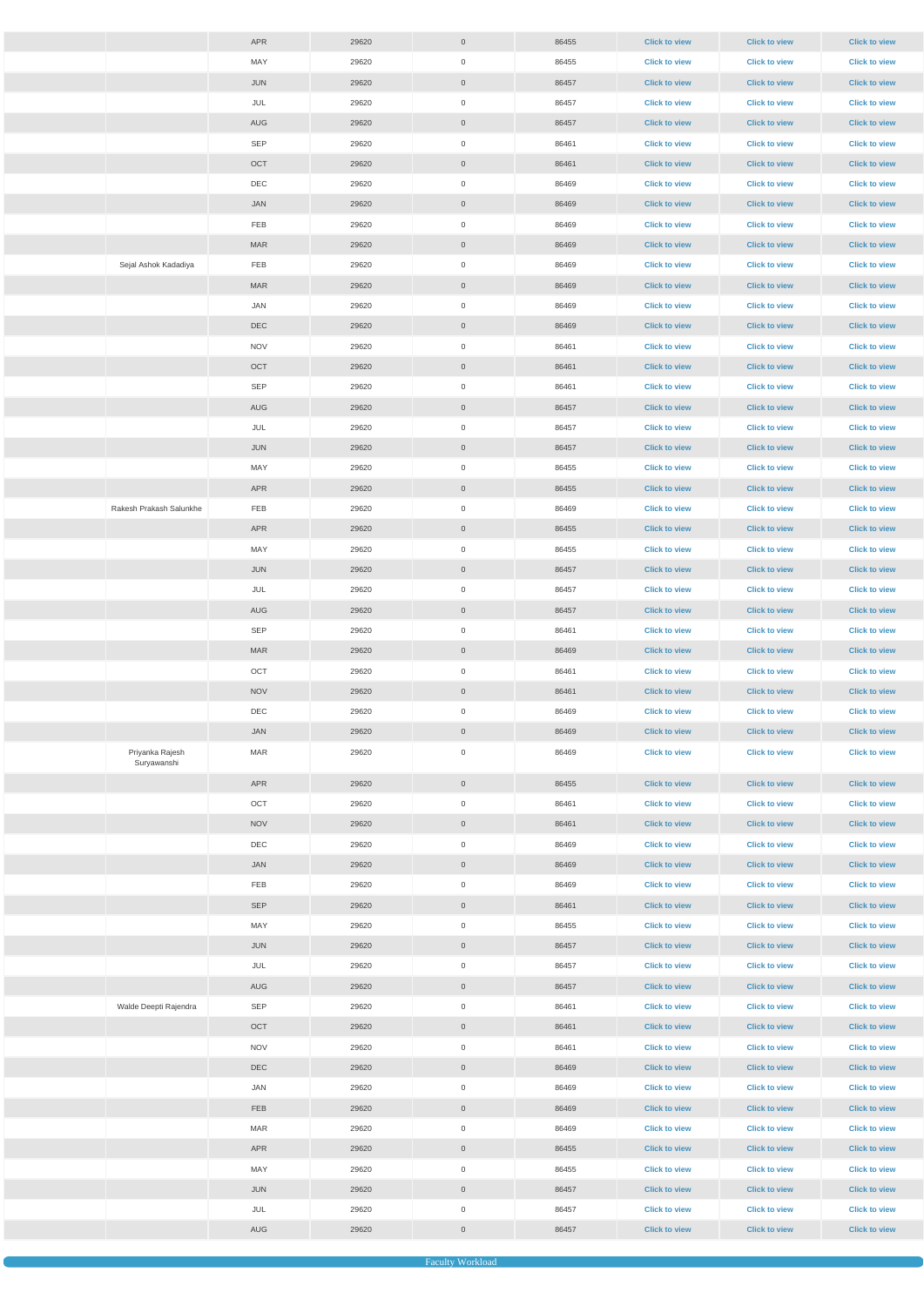|                                | APR         | 29620 | $\overline{0}$      | 86455 | <b>Click to view</b> | <b>Click to view</b> | <b>Click to view</b> |
|--------------------------------|-------------|-------|---------------------|-------|----------------------|----------------------|----------------------|
|                                | MAY         | 29620 | $\mathbf 0$         | 86455 | <b>Click to view</b> | <b>Click to view</b> | <b>Click to view</b> |
|                                | <b>JUN</b>  | 29620 | $\overline{0}$      | 86457 | <b>Click to view</b> | <b>Click to view</b> | <b>Click to view</b> |
|                                | JUL         | 29620 | $\mathbf 0$         | 86457 | <b>Click to view</b> | <b>Click to view</b> | <b>Click to view</b> |
|                                | AUG         | 29620 | $\overline{0}$      | 86457 | <b>Click to view</b> | <b>Click to view</b> | <b>Click to view</b> |
|                                | SEP         | 29620 | $\mathbf 0$         | 86461 | <b>Click to view</b> | <b>Click to view</b> | <b>Click to view</b> |
|                                | OCT         | 29620 | $\overline{0}$      | 86461 | <b>Click to view</b> | <b>Click to view</b> | <b>Click to view</b> |
|                                | DEC         | 29620 | $\mathbf 0$         | 86469 | <b>Click to view</b> | <b>Click to view</b> | <b>Click to view</b> |
|                                | JAN         | 29620 | $\overline{0}$      | 86469 | <b>Click to view</b> | <b>Click to view</b> | <b>Click to view</b> |
|                                | FEB         | 29620 | $\mathbf 0$         | 86469 | <b>Click to view</b> | <b>Click to view</b> | <b>Click to view</b> |
|                                | <b>MAR</b>  | 29620 | $\overline{0}$      | 86469 | <b>Click to view</b> | <b>Click to view</b> | <b>Click to view</b> |
| Sejal Ashok Kadadiya           | FEB         | 29620 | $\mathbf 0$         | 86469 | <b>Click to view</b> | <b>Click to view</b> | <b>Click to view</b> |
|                                | <b>MAR</b>  | 29620 | $\overline{0}$      | 86469 | <b>Click to view</b> | <b>Click to view</b> | <b>Click to view</b> |
|                                | JAN         | 29620 | 0                   | 86469 | <b>Click to view</b> | <b>Click to view</b> | <b>Click to view</b> |
|                                | DEC         | 29620 | $\overline{0}$      | 86469 | <b>Click to view</b> | <b>Click to view</b> | <b>Click to view</b> |
|                                | <b>NOV</b>  | 29620 | $\mathbf 0$         | 86461 | <b>Click to view</b> | <b>Click to view</b> | <b>Click to view</b> |
|                                | OCT         | 29620 | $\overline{0}$      | 86461 | <b>Click to view</b> | <b>Click to view</b> | <b>Click to view</b> |
|                                | <b>SEP</b>  | 29620 | $\mathbf 0$         | 86461 | <b>Click to view</b> | <b>Click to view</b> | <b>Click to view</b> |
|                                | AUG         |       |                     |       |                      |                      |                      |
|                                |             | 29620 | $\overline{0}$      | 86457 | <b>Click to view</b> | <b>Click to view</b> | <b>Click to view</b> |
|                                | JUL         | 29620 | $\mathbf 0$         | 86457 | <b>Click to view</b> | <b>Click to view</b> | <b>Click to view</b> |
|                                | <b>JUN</b>  | 29620 | $\overline{0}$      | 86457 | <b>Click to view</b> | <b>Click to view</b> | <b>Click to view</b> |
|                                | MAY         | 29620 | $\mathbf 0$         | 86455 | <b>Click to view</b> | <b>Click to view</b> | <b>Click to view</b> |
|                                | APR         | 29620 | $\overline{0}$      | 86455 | <b>Click to view</b> | <b>Click to view</b> | <b>Click to view</b> |
| Rakesh Prakash Salunkhe        | FEB         | 29620 | $\mathbf 0$         | 86469 | <b>Click to view</b> | <b>Click to view</b> | <b>Click to view</b> |
|                                | APR         | 29620 | $\overline{0}$      | 86455 | <b>Click to view</b> | <b>Click to view</b> | <b>Click to view</b> |
|                                | MAY         | 29620 | $\mathbf 0$         | 86455 | <b>Click to view</b> | <b>Click to view</b> | <b>Click to view</b> |
|                                | <b>JUN</b>  | 29620 | $\overline{0}$      | 86457 | <b>Click to view</b> | <b>Click to view</b> | <b>Click to view</b> |
|                                | JUL         | 29620 | $\mathbf 0$         | 86457 | <b>Click to view</b> | <b>Click to view</b> | <b>Click to view</b> |
|                                | AUG         | 29620 | $\overline{0}$      | 86457 | <b>Click to view</b> | <b>Click to view</b> | <b>Click to view</b> |
|                                | <b>SEP</b>  | 29620 | $\mathbf 0$         | 86461 | <b>Click to view</b> | <b>Click to view</b> | <b>Click to view</b> |
|                                | <b>MAR</b>  | 29620 | $\overline{0}$      | 86469 | <b>Click to view</b> | <b>Click to view</b> | <b>Click to view</b> |
|                                | OCT         | 29620 | $\mathsf{O}\xspace$ | 86461 | <b>Click to view</b> | <b>Click to view</b> | <b>Click to view</b> |
|                                | <b>NOV</b>  | 29620 | $\overline{0}$      | 86461 | <b>Click to view</b> | <b>Click to view</b> | <b>Click to view</b> |
|                                | DEC         | 29620 | $\mathbf 0$         | 86469 | <b>Click to view</b> | <b>Click to view</b> | <b>Click to view</b> |
|                                | JAN         | 29620 | $\overline{0}$      | 86469 | <b>Click to view</b> | <b>Click to view</b> | <b>Click to view</b> |
| Priyanka Rajesh<br>Suryawanshi | <b>MAR</b>  | 29620 | $\mathbf 0$         | 86469 | <b>Click to view</b> | <b>Click to view</b> | <b>Click to view</b> |
|                                | APR         | 29620 | $\overline{0}$      | 86455 | <b>Click to view</b> | <b>Click to view</b> | <b>Click to view</b> |
|                                | OCT         | 29620 | $\mathbf 0$         | 86461 | <b>Click to view</b> | <b>Click to view</b> | <b>Click to view</b> |
|                                | <b>NOV</b>  | 29620 | $\overline{0}$      | 86461 | <b>Click to view</b> | <b>Click to view</b> | <b>Click to view</b> |
|                                | DEC         | 29620 | $\mathbf 0$         | 86469 | <b>Click to view</b> | <b>Click to view</b> | <b>Click to view</b> |
|                                | JAN         | 29620 | $\overline{0}$      | 86469 | <b>Click to view</b> | <b>Click to view</b> | <b>Click to view</b> |
|                                | ${\sf FEB}$ | 29620 | $\mathbf 0$         | 86469 | <b>Click to view</b> | <b>Click to view</b> | <b>Click to view</b> |
|                                | SEP         | 29620 | $\overline{0}$      | 86461 | <b>Click to view</b> | <b>Click to view</b> | <b>Click to view</b> |
|                                | MAY         | 29620 | $\mathbf 0$         | 86455 | <b>Click to view</b> | <b>Click to view</b> | <b>Click to view</b> |
|                                | JUN         | 29620 | $\overline{0}$      | 86457 | <b>Click to view</b> | <b>Click to view</b> | <b>Click to view</b> |
|                                | JUL         | 29620 | $\mathbf 0$         | 86457 | <b>Click to view</b> | <b>Click to view</b> | <b>Click to view</b> |
|                                | AUG         | 29620 | $\overline{0}$      | 86457 | <b>Click to view</b> | <b>Click to view</b> | <b>Click to view</b> |
| Walde Deepti Rajendra          | SEP         | 29620 | $\mathbf 0$         | 86461 | <b>Click to view</b> | <b>Click to view</b> | <b>Click to view</b> |
|                                | OCT         | 29620 | $\overline{0}$      | 86461 | <b>Click to view</b> | <b>Click to view</b> | <b>Click to view</b> |
|                                | <b>NOV</b>  | 29620 | $\overline{0}$      | 86461 | <b>Click to view</b> | <b>Click to view</b> | <b>Click to view</b> |
|                                | <b>DEC</b>  | 29620 | $\overline{0}$      | 86469 | <b>Click to view</b> | <b>Click to view</b> | <b>Click to view</b> |
|                                | JAN         | 29620 | $\overline{0}$      | 86469 | <b>Click to view</b> | <b>Click to view</b> | <b>Click to view</b> |
|                                | <b>FEB</b>  | 29620 | $\overline{0}$      | 86469 | <b>Click to view</b> | <b>Click to view</b> | <b>Click to view</b> |
|                                | MAR         | 29620 | $\overline{0}$      | 86469 | <b>Click to view</b> | <b>Click to view</b> | <b>Click to view</b> |
|                                | APR         | 29620 | $\overline{0}$      | 86455 | <b>Click to view</b> | <b>Click to view</b> | <b>Click to view</b> |
|                                | MAY         | 29620 | $\overline{0}$      | 86455 | <b>Click to view</b> | <b>Click to view</b> | <b>Click to view</b> |
|                                | JUN         | 29620 | $\overline{0}$      | 86457 | <b>Click to view</b> | <b>Click to view</b> | <b>Click to view</b> |
|                                | JUL         | 29620 | $\overline{0}$      | 86457 | <b>Click to view</b> | <b>Click to view</b> | <b>Click to view</b> |
|                                | AUG         | 29620 | $\overline{0}$      | 86457 | <b>Click to view</b> | <b>Click to view</b> | <b>Click to view</b> |
|                                |             |       |                     |       |                      |                      |                      |

Faculty Workloa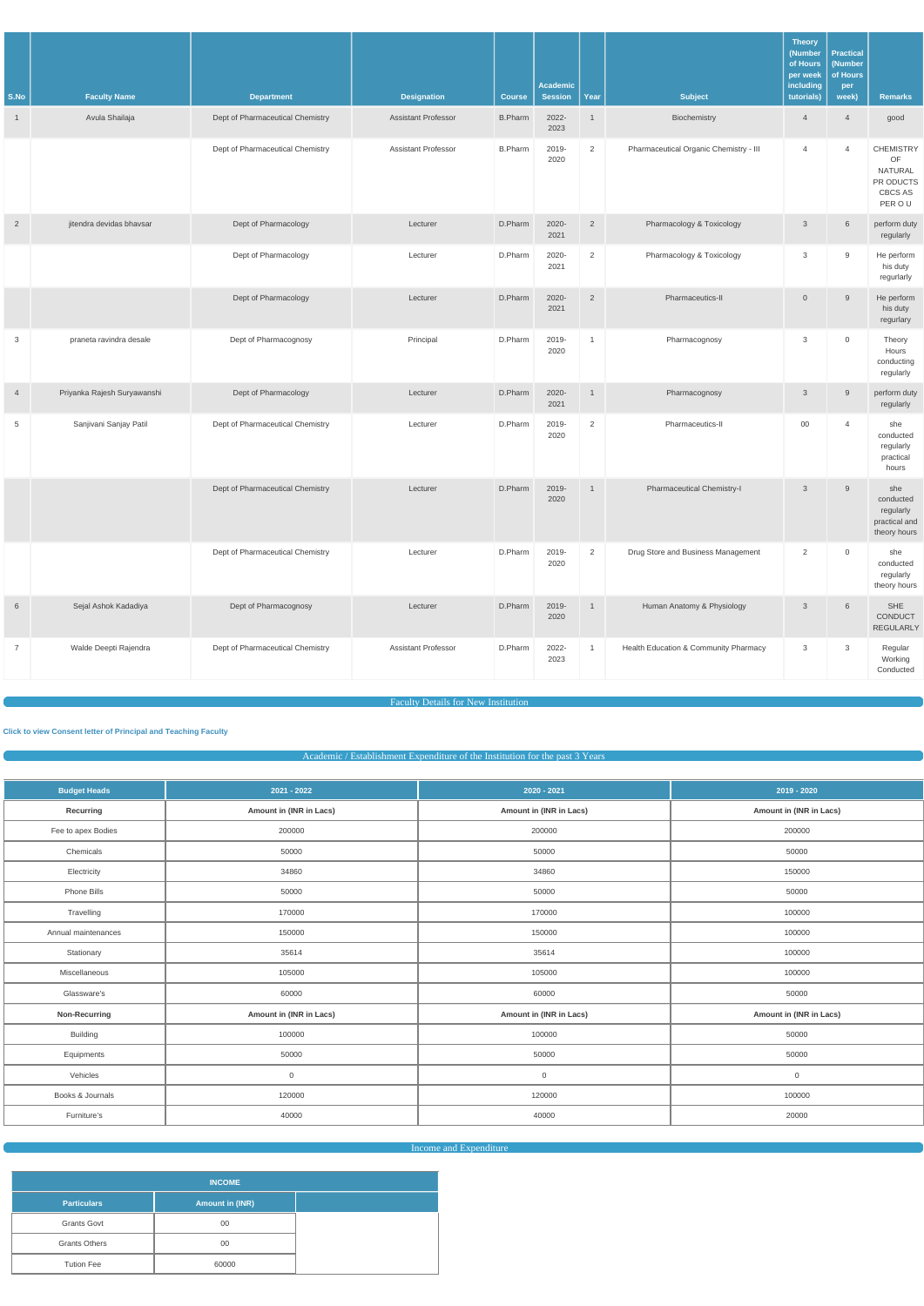|                        |                                       |                                                       |                                                  |                                 | <b>Academic</b>         |                        |                                        | <b>Theory</b><br>(Number<br>of Hours<br>per week<br>including | <b>Practical</b><br>(Number<br>of Hours<br>per |                                                                            |
|------------------------|---------------------------------------|-------------------------------------------------------|--------------------------------------------------|---------------------------------|-------------------------|------------------------|----------------------------------------|---------------------------------------------------------------|------------------------------------------------|----------------------------------------------------------------------------|
| S.No<br>$\overline{1}$ | <b>Faculty Name</b><br>Avula Shailaja | <b>Department</b><br>Dept of Pharmaceutical Chemistry | <b>Designation</b><br><b>Assistant Professor</b> | <b>Course</b><br><b>B.Pharm</b> | <b>Session</b><br>2022- | Year<br>$\overline{1}$ | <b>Subject</b><br>Biochemistry         | tutorials)<br>$\overline{4}$                                  | week)<br>$\overline{4}$                        | <b>Remarks</b><br>good                                                     |
|                        |                                       |                                                       |                                                  |                                 | 2023                    |                        |                                        |                                                               |                                                |                                                                            |
|                        |                                       | Dept of Pharmaceutical Chemistry                      | <b>Assistant Professor</b>                       | <b>B.Pharm</b>                  | 2019-<br>2020           | $\overline{2}$         | Pharmaceutical Organic Chemistry - III | $\overline{4}$                                                | $\overline{4}$                                 | <b>CHEMISTRY</b><br>OF<br><b>NATURAL</b><br>PR ODUCTS<br>CBCS AS<br>PER OU |
| $\overline{2}$         | jitendra devidas bhavsar              | Dept of Pharmacology                                  | Lecturer                                         | D.Pharm                         | 2020-<br>2021           | $\overline{2}$         | Pharmacology & Toxicology              | $\mathbf{3}$                                                  | 6                                              | perform duty<br>regularly                                                  |
|                        |                                       | Dept of Pharmacology                                  | Lecturer                                         | D.Pharm                         | 2020-<br>2021           | 2                      | Pharmacology & Toxicology              | 3                                                             | 9                                              | He perform<br>his duty<br>regurlarly                                       |
|                        |                                       | Dept of Pharmacology                                  | Lecturer                                         | D.Pharm                         | 2020-<br>2021           | $\overline{2}$         | Pharmaceutics-II                       | $\overline{0}$                                                | 9                                              | He perform<br>his duty<br>regurlary                                        |
| 3                      | praneta ravindra desale               | Dept of Pharmacognosy                                 | Principal                                        | D.Pharm                         | 2019-<br>2020           | $\overline{1}$         | Pharmacognosy                          | $\mathbf{3}$                                                  | $\mathbf 0$                                    | Theory<br>Hours<br>conducting<br>regularly                                 |
| $\overline{4}$         | Priyanka Rajesh Suryawanshi           | Dept of Pharmacology                                  | Lecturer                                         | D.Pharm                         | 2020-<br>2021           | $\mathbf{1}$           | Pharmacognosy                          | $\mathbf{3}$                                                  | 9                                              | perform duty<br>regularly                                                  |
| 5                      | Sanjivani Sanjay Patil                | Dept of Pharmaceutical Chemistry                      | Lecturer                                         | D.Pharm                         | 2019-<br>2020           | $\overline{2}$         | Pharmaceutics-II                       | $00\,$                                                        | $\overline{4}$                                 | she<br>conducted<br>regularly<br>practical<br>hours                        |
|                        |                                       | Dept of Pharmaceutical Chemistry                      | Lecturer                                         | D.Pharm                         | 2019-<br>2020           | $\mathbf{1}$           | <b>Pharmaceutical Chemistry-I</b>      | $\mathbf{3}$                                                  | 9                                              | she<br>conducted<br>regularly<br>practical and<br>theory hours             |
|                        |                                       | Dept of Pharmaceutical Chemistry                      | Lecturer                                         | D.Pharm                         | 2019-<br>2020           | $\overline{2}$         | Drug Store and Business Management     | 2                                                             | $\mathsf{O}\xspace$                            | she<br>conducted<br>regularly<br>theory hours                              |
| 6                      | Sejal Ashok Kadadiya                  | Dept of Pharmacognosy                                 | Lecturer                                         | D.Pharm                         | 2019-<br>2020           | $\mathbf{1}$           | Human Anatomy & Physiology             | $\mathbf{3}$                                                  | 6                                              | SHE<br>CONDUCT<br>REGULARLY                                                |
| $\overline{7}$         | Walde Deepti Rajendra                 | Dept of Pharmaceutical Chemistry                      | <b>Assistant Professor</b>                       | D.Pharm                         | 2022-<br>2023           | $\overline{1}$         | Health Education & Community Pharmacy  | $\mathbf{3}$                                                  | 3                                              | Regular<br>Working<br>Conducted                                            |

# Faculty Details for New Institution

**[Click to view Consent letter of Principal and Teaching Faculty](https://dgpm.nic.in/institute/getmongoPdfFile.do?renreceiptid=&tablename=newinstfacultydoc)**

Academic / Establishment Expenditure of the Institution for the past 3 Years

| <b>Budget Heads</b> | $2021 - 2022$           | 2020 - 2021             | 2019 - 2020             |
|---------------------|-------------------------|-------------------------|-------------------------|
| Recurring           | Amount in (INR in Lacs) | Amount in (INR in Lacs) | Amount in (INR in Lacs) |
| Fee to apex Bodies  | 200000                  | 200000                  | 200000                  |
| Chemicals           | 50000                   | 50000                   | 50000                   |
| Electricity         | 34860                   | 34860                   | 150000                  |
| Phone Bills         | 50000                   | 50000                   | 50000                   |
| Travelling          | 170000                  | 170000                  | 100000                  |
| Annual maintenances | 150000                  | 150000                  | 100000                  |
| Stationary          | 35614                   | 35614                   | 100000                  |
| Miscellaneous       | 105000                  | 105000                  | 100000                  |
| Glassware's         | 60000                   | 60000                   | 50000                   |
| Non-Recurring       | Amount in (INR in Lacs) | Amount in (INR in Lacs) | Amount in (INR in Lacs) |
| <b>Building</b>     | 100000                  | 100000                  | 50000                   |
| Equipments          | 50000                   | 50000                   | 50000                   |
| Vehicles            | $\mathbf 0$             | $\overline{0}$          | $\overline{0}$          |
| Books & Journals    | 120000                  | 120000                  | 100000                  |
| Furniture's         | 40000                   | 40000                   | 20000                   |

Income and Expenditure

| <b>INCOME</b>        |                        |  |  |  |  |  |  |  |
|----------------------|------------------------|--|--|--|--|--|--|--|
| <b>Particulars</b>   | <b>Amount in (INR)</b> |  |  |  |  |  |  |  |
| <b>Grants Govt</b>   | 00                     |  |  |  |  |  |  |  |
| <b>Grants Others</b> | 00                     |  |  |  |  |  |  |  |
| <b>Tution Fee</b>    | 60000                  |  |  |  |  |  |  |  |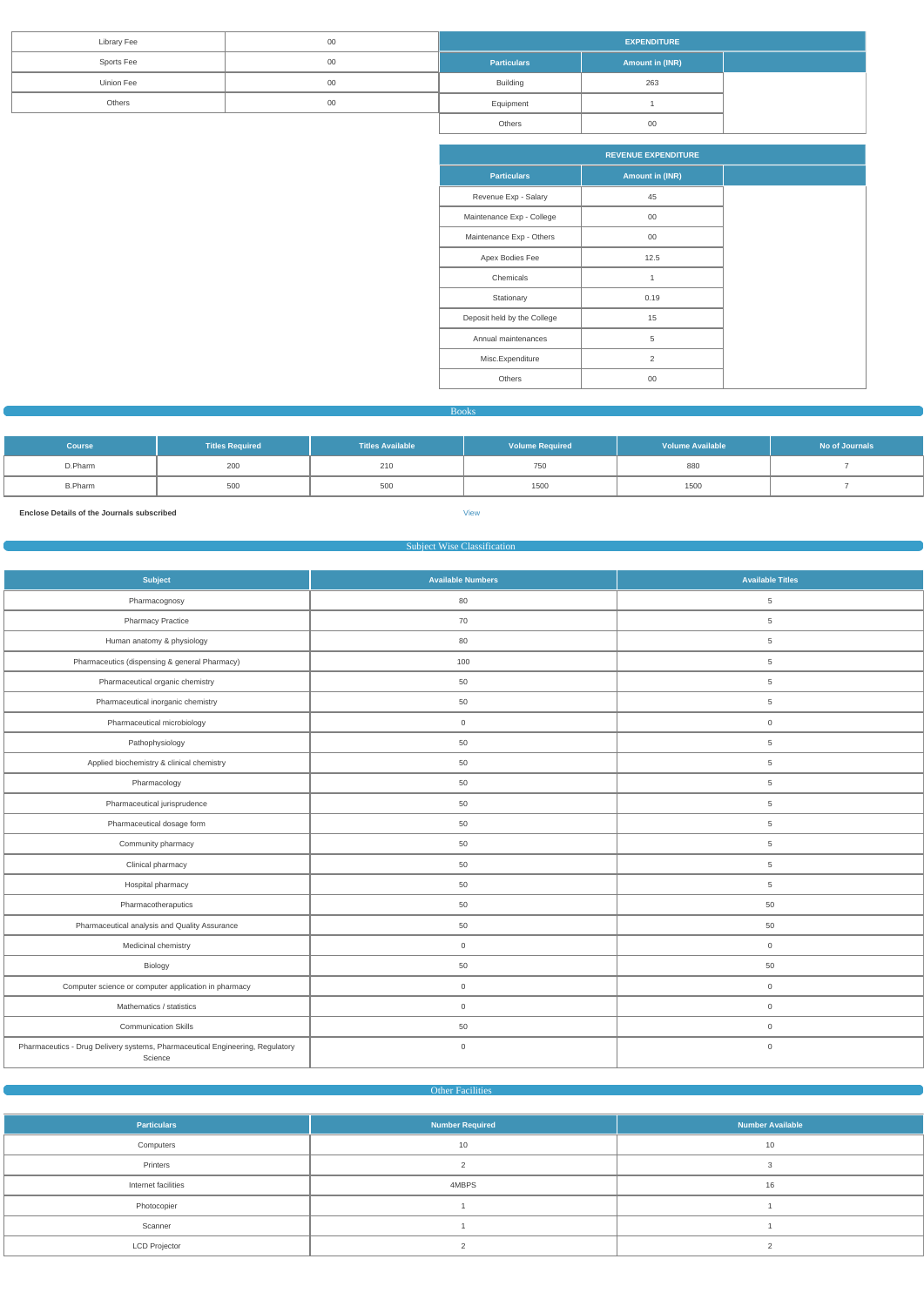| <b>Library Fee</b> | 00 | <b>EXPENDITURE</b> |                 |  |  |  |  |
|--------------------|----|--------------------|-----------------|--|--|--|--|
| Sports Fee         | 00 | <b>Particulars</b> | Amount in (INR) |  |  |  |  |
| Uinion Fee         | 00 | <b>Building</b>    | 263             |  |  |  |  |
| Others             | 00 | Equipment          |                 |  |  |  |  |
|                    |    | Others             | 00              |  |  |  |  |

|                             | <b>REVENUE EXPENDITURE</b> |  |  |
|-----------------------------|----------------------------|--|--|
| <b>Particulars</b>          | <b>Amount in (INR)</b>     |  |  |
| Revenue Exp - Salary        | 45                         |  |  |
| Maintenance Exp - College   | $00\,$                     |  |  |
| Maintenance Exp - Others    | $00\,$                     |  |  |
| Apex Bodies Fee             | 12.5                       |  |  |
| Chemicals                   | 1                          |  |  |
| Stationary                  | 0.19                       |  |  |
| Deposit held by the College | 15                         |  |  |
| Annual maintenances         | 5                          |  |  |
| Misc.Expenditure            | $\overline{2}$             |  |  |
| Others                      | $00\,$                     |  |  |

#### Books

| <b>Course</b>  | <b>Titles Required</b> | <b>Titles Available</b> | <b>Volume Required</b> | <b>Volume Available</b> | No of Journals |
|----------------|------------------------|-------------------------|------------------------|-------------------------|----------------|
| D.Pharm        | 200                    | 210                     | 750                    | 880                     |                |
| <b>B.Pharm</b> | 500                    | 500                     | 1500                   | 1500                    |                |

**Enclose Details of the Journals subscribed** [View](https://dgpm.nic.in/institute/getmongoPdfFile.do?renreceiptid=98fbee4a-916e-4f87-9810-49522b08f620&tablename=bookjournal)

#### Subject Wise Classification

| <b>Subject</b>                                                                           | <b>Available Numbers</b> | <b>Available Titles</b> |
|------------------------------------------------------------------------------------------|--------------------------|-------------------------|
| Pharmacognosy                                                                            | 80                       | $\overline{5}$          |
| <b>Pharmacy Practice</b>                                                                 | 70                       | $5\phantom{.0}$         |
| Human anatomy & physiology                                                               | 80                       | $\overline{5}$          |
| Pharmaceutics (dispensing & general Pharmacy)                                            | 100                      | $\overline{5}$          |
| Pharmaceutical organic chemistry                                                         | 50                       | $5\phantom{.0}$         |
| Pharmaceutical inorganic chemistry                                                       | 50                       | $5\phantom{.0}$         |
| Pharmaceutical microbiology                                                              | $\mathbf 0$              | $\mathbf 0$             |
| Pathophysiology                                                                          | 50                       | $5\phantom{.0}$         |
| Applied biochemistry & clinical chemistry                                                | 50                       | $5\phantom{.0}$         |
| Pharmacology                                                                             | 50                       | 5                       |
| Pharmaceutical jurisprudence                                                             | 50                       | $\overline{5}$          |
| Pharmaceutical dosage form                                                               | 50                       | $\overline{5}$          |
| Community pharmacy                                                                       | 50                       | $5\phantom{.0}$         |
| Clinical pharmacy                                                                        | 50                       | $\overline{5}$          |
| Hospital pharmacy                                                                        | 50                       | $5\phantom{.0}$         |
| Pharmacotheraputics                                                                      | 50                       | 50                      |
| Pharmaceutical analysis and Quality Assurance                                            | 50                       | 50                      |
| Medicinal chemistry                                                                      | $\overline{0}$           | $\mathsf{O}\xspace$     |
| Biology                                                                                  | 50                       | 50                      |
| Computer science or computer application in pharmacy                                     | $\mathsf{O}\xspace$      | $\mathsf{O}\xspace$     |
| Mathematics / statistics                                                                 | $\mathbf 0$              | $\mathsf 0$             |
| <b>Communication Skills</b>                                                              | 50                       | $\mathsf{O}\xspace$     |
| Pharmaceutics - Drug Delivery systems, Pharmaceutical Engineering, Regulatory<br>Science | $\mathsf{O}\xspace$      | $\mathsf{O}\xspace$     |

**Other Facilities** 

| <b>Particulars</b>   | Number Required | <b>Number Available</b> |
|----------------------|-----------------|-------------------------|
| Computers            | 10              | 10                      |
| Printers             |                 |                         |
| Internet facilities  | 4MBPS           | 16                      |
| Photocopier          |                 |                         |
| Scanner              |                 |                         |
| <b>LCD Projector</b> |                 |                         |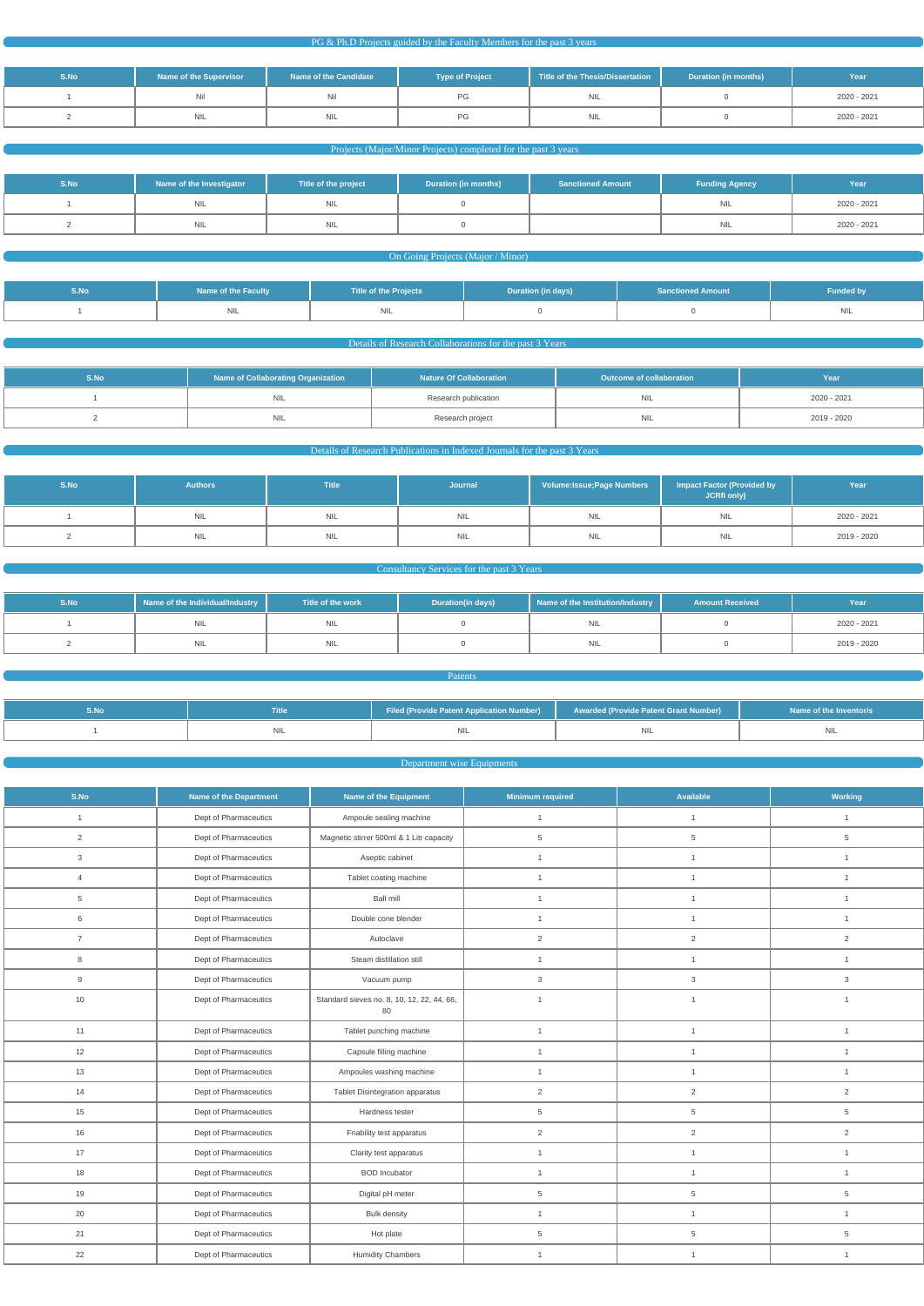|  | PG & Ph.D Projects guided by the Faculty Members for the past 3 years |
|--|-----------------------------------------------------------------------|
|--|-----------------------------------------------------------------------|

| S.No | Name of the Supervisor | Name of the Candidate | <b>Type of Project</b> | Title of the Thesis/Dissertation | Duration (in months) | Year        |
|------|------------------------|-----------------------|------------------------|----------------------------------|----------------------|-------------|
|      | Nil                    | Nil                   | PG.                    | <b>NIL</b>                       |                      | 2020 - 2021 |
|      | NIL.                   | <b>NIL</b>            | PG.                    | NIL                              |                      | 2020 - 2021 |

# Projects (Major/Minor Projects) completed for the past 3 years

| S.No | Name of the Investigator | Title of the project | <b>Duration (in months)</b> | <b>Sanctioned Amount</b> | <b>Funding Agency</b> | Year        |
|------|--------------------------|----------------------|-----------------------------|--------------------------|-----------------------|-------------|
|      | <b>NIL</b>               | <b>NIL</b>           |                             |                          | <b>NIL</b>            | 2020 - 2021 |
|      | <b>NIL</b>               | <b>NIL</b>           |                             |                          | <b>NIL</b>            | 2020 - 2021 |

# **On Going Projects (Major / Minor)**

| S.No | <b>Name of the Faculty</b> | <b>Title of the Projects</b> | Duration (in days) | <b>Sanctioned Amount</b> | <b>Funded by</b> |
|------|----------------------------|------------------------------|--------------------|--------------------------|------------------|
|      | <b>NIL</b>                 | NIL                          |                    |                          | <b>NIL</b>       |

# **Details of Research Collaborations for the past 3 Years**

| S.No. | Name of Collaborating Organization | <b>Nature Of Collaboration</b> | Outcome of collaboration | Year i      |
|-------|------------------------------------|--------------------------------|--------------------------|-------------|
|       | <b>NIL</b>                         | Research publication           | <b>NIL</b>               | 2020 - 2021 |
|       | <b>NIL</b>                         | Research project               | <b>NIL</b>               | 2019 - 2020 |

# Details of Research Publications in Indexed Journals for the past 3 Years

| S.No | <b>Authors</b> | Title      | Journal    | Volume: Issue; Page Numbers | <b>Impact Factor (Provided by</b><br>JCRfi only) | Year        |
|------|----------------|------------|------------|-----------------------------|--------------------------------------------------|-------------|
|      | <b>NIL</b>     | <b>NIL</b> | <b>NIL</b> | <b>NIL</b>                  | <b>NIL</b>                                       | 2020 - 2021 |
|      | <b>NIL</b>     | <b>NIL</b> | <b>NIL</b> | <b>NIL</b>                  | <b>NIL</b>                                       | 2019 - 2020 |

#### **Consultancy Services for the past 3 Years Consultancy Services** for the past 3 Years

| S.No | Name of the Individual/Industry | Title of the work | <b>Duration(in days)</b> | Name of the Institution/Industry | <b>Amount Received</b> | Year        |
|------|---------------------------------|-------------------|--------------------------|----------------------------------|------------------------|-------------|
|      | <b>INIL</b>                     | <b>NIL</b>        |                          | NIL                              |                        | 2020 - 2021 |
|      | INIL                            | <b>NIL</b>        |                          | NIL                              |                        | 2019 - 2020 |

# **Patents**

| Title | Filed (Provide Patent Application Number)   Awarded (Provide Patent Grant Number) | Name of the Inventor/s |
|-------|-----------------------------------------------------------------------------------|------------------------|
|       |                                                                                   |                        |

# Department wise Equipments

| S.No           | <b>Name of the Department</b> | <b>Name of the Equipment</b>                     | <b>Minimum required</b>        | <b>Available</b> | Working        |  |
|----------------|-------------------------------|--------------------------------------------------|--------------------------------|------------------|----------------|--|
| 1              | Dept of Pharmaceutics         | Ampoule sealing machine                          | $\mathbf{1}$                   | $\mathbf{1}$     | $\mathbf{1}$   |  |
| $\overline{2}$ | Dept of Pharmaceutics         | Magnetic stirrer 500ml & 1 Litr capacity         | 5<br>5                         |                  | 5              |  |
| $\mathbf{3}$   | Dept of Pharmaceutics         | Aseptic cabinet                                  | $\mathbf{1}$                   | $\mathbf{1}$     | $\mathbf{1}$   |  |
| $\overline{4}$ | Dept of Pharmaceutics         | Tablet coating machine                           | $\mathbf{1}$                   | $\mathbf{1}$     | $\mathbf{1}$   |  |
| $\,$ 5 $\,$    | Dept of Pharmaceutics         | <b>Ball mill</b>                                 | $\mathbf{1}$                   | $\mathbf{1}$     | $\mathbf{1}$   |  |
| 6              | Dept of Pharmaceutics         | Double cone blender                              | $\mathbf{1}$                   | $\mathbf{1}$     | $\mathbf{1}$   |  |
| $\overline{7}$ | Dept of Pharmaceutics         | Autoclave                                        | $\overline{2}$                 | $\overline{c}$   | $\overline{2}$ |  |
| $\,8\,$        | Dept of Pharmaceutics         | Steam distillation still                         | $\mathbf{1}$                   | $\mathbf{1}$     | $\mathbf{1}$   |  |
| 9              | Dept of Pharmaceutics         | Vacuum pump                                      | $\mathbf{3}$                   | $\mathbf{3}$     | $\mathbf{3}$   |  |
| 10             | Dept of Pharmaceutics         | Standard sieves no. 8, 10, 12, 22, 44, 66,<br>80 | $\mathbf{1}$<br>$\mathbf{1}$   |                  | $\mathbf{1}$   |  |
| 11             | Dept of Pharmaceutics         | Tablet punching machine                          | $\overline{1}$<br>$\mathbf{1}$ |                  | $\mathbf{1}$   |  |
| 12             | Dept of Pharmaceutics         | Capsule filling machine                          | $\mathbf{1}$<br>$\mathbf{1}$   |                  | $\mathbf{1}$   |  |
| 13             | Dept of Pharmaceutics         | Ampoules washing machine                         | $\mathbf{1}$                   | $\mathbf{1}$     | $\mathbf{1}$   |  |
| 14             | Dept of Pharmaceutics         | Tablet Disintegration apparatus                  | $\overline{2}$                 | $\overline{2}$   | $\overline{2}$ |  |
| 15             | Dept of Pharmaceutics         | Hardness tester                                  | 5                              | 5                | 5              |  |
| 16             | Dept of Pharmaceutics         | Friability test apparatus                        | $\overline{2}$                 | $\overline{2}$   | $\overline{2}$ |  |
| 17             | Dept of Pharmaceutics         | Clarity test apparatus                           | $\mathbf{1}$                   | $\mathbf{1}$     | $\mathbf{1}$   |  |
| 18             | Dept of Pharmaceutics         | <b>BOD</b> Incubator                             | $\mathbf{1}$                   | $\mathbf{1}$     | $\mathbf{1}$   |  |
| 19             | Dept of Pharmaceutics         | Digital pH meter                                 | 5                              | 5                | 5              |  |
| 20             | Dept of Pharmaceutics         | <b>Bulk density</b>                              | $\mathbf{1}$                   | $\mathbf{1}$     | $\mathbf{1}$   |  |
| 21             | Dept of Pharmaceutics         | Hot plate                                        | 5                              | 5                | $\sqrt{5}$     |  |
| 22             | Dept of Pharmaceutics         | <b>Humidity Chambers</b>                         | $\mathbf{1}$                   | $\mathbf{1}$     | $\mathbf{1}$   |  |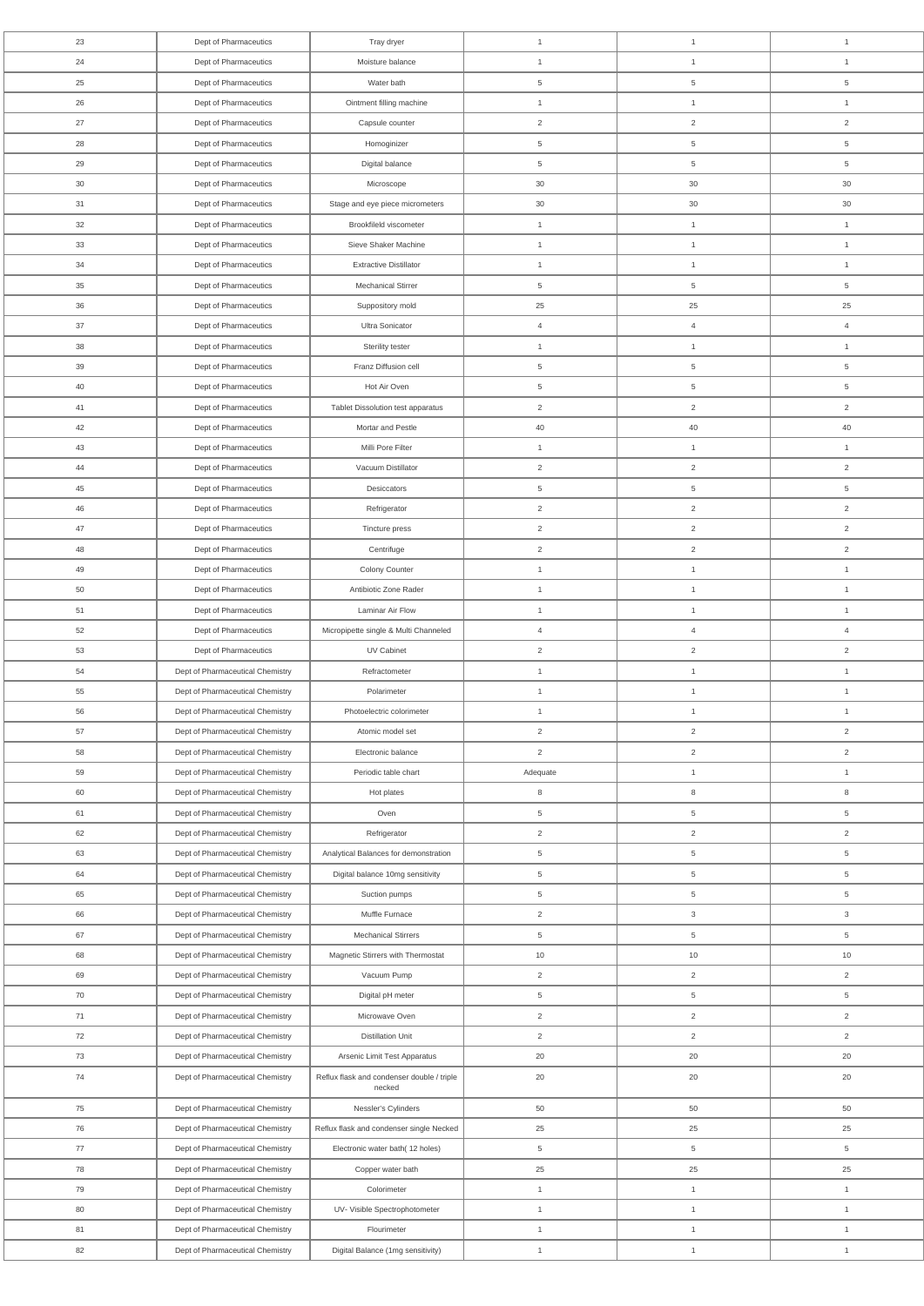| 23              | Dept of Pharmaceutics            | Tray dryer                                           | $\mathbf{1}$   | $\mathbf{1}$    | $\mathbf{1}$              |
|-----------------|----------------------------------|------------------------------------------------------|----------------|-----------------|---------------------------|
| 24              | Dept of Pharmaceutics            | Moisture balance                                     | $\mathbf{1}$   | $\mathbf{1}$    | $\mathbf{1}$              |
| 25              | Dept of Pharmaceutics            | Water bath                                           | 5              | 5               | $\overline{5}$            |
| 26              | Dept of Pharmaceutics            | Ointment filling machine                             | $\mathbf{1}$   | $\mathbf{1}$    | $\mathbf{1}$              |
| 27              | Dept of Pharmaceutics            | Capsule counter                                      | $\overline{2}$ | $\overline{2}$  | 2                         |
| 28              | Dept of Pharmaceutics            | Homoginizer                                          | 5              | 5               | $\overline{5}$            |
| 29              | Dept of Pharmaceutics            | Digital balance                                      | 5              | 5               | 5                         |
| 30 <sup>°</sup> | Dept of Pharmaceutics            | Microscope                                           | 30             | $30\,$          | 30                        |
| 31              | Dept of Pharmaceutics            | Stage and eye piece micrometers                      | 30             | $30\,$          | 30                        |
| 32              | Dept of Pharmaceutics            | Brookfileld viscometer                               | $\mathbf{1}$   | $\mathbf{1}$    | $\mathbf{1}$              |
| 33              | Dept of Pharmaceutics            | Sieve Shaker Machine                                 | $\overline{1}$ | $\mathbf{1}$    | $\mathbf{1}$              |
| 34              | Dept of Pharmaceutics            | <b>Extractive Distillator</b>                        | $\mathbf{1}$   | $\mathbf{1}$    | $\mathbf{1}$              |
| 35              | Dept of Pharmaceutics            | <b>Mechanical Stirrer</b>                            | 5              | 5               | 5                         |
| 36              | Dept of Pharmaceutics            | Suppository mold                                     | 25             | 25              | 25                        |
| 37              | Dept of Pharmaceutics            | Ultra Sonicator                                      | $\overline{4}$ | $\overline{4}$  | $\overline{4}$            |
| 38              | Dept of Pharmaceutics            | Sterility tester                                     | $\mathbf{1}$   | $\mathbf{1}$    | $\mathbf{1}$              |
| 39              | Dept of Pharmaceutics            | Franz Diffusion cell                                 | 5              | $\overline{5}$  | $\overline{5}$            |
| 40              | Dept of Pharmaceutics            | Hot Air Oven                                         | 5              | 5               | 5                         |
| 41              | Dept of Pharmaceutics            | Tablet Dissolution test apparatus                    | $\overline{2}$ | $\overline{2}$  | $\overline{2}$            |
| 42              | Dept of Pharmaceutics            | Mortar and Pestle                                    | 40             | 40              | 40                        |
| 43              | Dept of Pharmaceutics            | Milli Pore Filter                                    | $\mathbf{1}$   | $\mathbf{1}$    | $\mathbf{1}$              |
| 44              | Dept of Pharmaceutics            | Vacuum Distillator                                   | $\overline{2}$ | $\overline{2}$  | 2                         |
| 45              | Dept of Pharmaceutics            | Desiccators                                          | 5              | $\overline{5}$  | 5                         |
| 46              | Dept of Pharmaceutics            | Refrigerator                                         | $\overline{2}$ | $\overline{2}$  | $\overline{2}$            |
| 47              | Dept of Pharmaceutics            | Tincture press                                       | $\overline{2}$ | $\overline{2}$  | 2                         |
| 48              | Dept of Pharmaceutics            | Centrifuge                                           | $\overline{2}$ | $\overline{2}$  | $\overline{2}$            |
| 49              | Dept of Pharmaceutics            | Colony Counter                                       | $\mathbf{1}$   | $\mathbf{1}$    | $\mathbf{1}$              |
| 50              | Dept of Pharmaceutics            | Antibiotic Zone Rader                                | $\mathbf{1}$   | $\mathbf{1}$    | $\mathbf{1}$              |
| 51              | Dept of Pharmaceutics            | Laminar Air Flow                                     | $\mathbf{1}$   | $\mathbf{1}$    | $\mathbf{1}$              |
| 52              | Dept of Pharmaceutics            | Micropipette single & Multi Channeled                | $\overline{4}$ | $\overline{4}$  | $\overline{4}$            |
| 53              | Dept of Pharmaceutics            | UV Cabinet                                           | $\overline{2}$ | $\overline{2}$  | $\overline{c}$            |
| 54              | Dept of Pharmaceutical Chemistry | Refractometer                                        | $\mathbf{1}$   | $\mathbf{1}$    | $\mathbf{1}$              |
| 55              | Dept of Pharmaceutical Chemistry | Polarimeter                                          | $\mathbf{1}$   | $\mathbf{1}$    | $\mathbf{1}$              |
| 56              | Dept of Pharmaceutical Chemistry | Photoelectric colorimeter                            | $\overline{1}$ | $\mathbf{1}$    | $\mathbf{1}$              |
| 57              | Dept of Pharmaceutical Chemistry | Atomic model set                                     | $\overline{2}$ | $\overline{2}$  | $\overline{2}$            |
| 58              | Dept of Pharmaceutical Chemistry | Electronic balance                                   | $\overline{2}$ | $\overline{2}$  | $\overline{2}$            |
| 59              | Dept of Pharmaceutical Chemistry | Periodic table chart                                 | Adequate       | $\mathbf{1}$    | $\mathbf{1}$              |
| 60              | Dept of Pharmaceutical Chemistry | Hot plates                                           | 8              | 8               | 8                         |
| 61              | Dept of Pharmaceutical Chemistry | Oven                                                 | 5              | 5               | 5                         |
| 62              | Dept of Pharmaceutical Chemistry | Refrigerator                                         | $\overline{2}$ | $\overline{2}$  | 2                         |
| 63              | Dept of Pharmaceutical Chemistry | Analytical Balances for demonstration                | 5              | $5\phantom{.0}$ | $\overline{5}$            |
| 64              | Dept of Pharmaceutical Chemistry | Digital balance 10mg sensitivity                     | 5              | 5               | 5                         |
| 65              | Dept of Pharmaceutical Chemistry | Suction pumps                                        | 5              | $5\phantom{.0}$ | $\overline{5}$            |
| 66              | Dept of Pharmaceutical Chemistry | Muffle Furnace                                       | $\overline{2}$ | $\mathbf{3}$    | $\ensuremath{\mathsf{3}}$ |
| 67              | Dept of Pharmaceutical Chemistry | <b>Mechanical Stirrers</b>                           | 5              | $5\phantom{.0}$ | 5                         |
| 68              | Dept of Pharmaceutical Chemistry | Magnetic Stirrers with Thermostat                    | 10             | 10              | 10                        |
| 69              | Dept of Pharmaceutical Chemistry | Vacuum Pump                                          | $\overline{2}$ | $\overline{2}$  | 2                         |
| 70              | Dept of Pharmaceutical Chemistry | Digital pH meter                                     | 5              | 5               | 5                         |
| 71              | Dept of Pharmaceutical Chemistry | Microwave Oven                                       | $\overline{2}$ | $\overline{2}$  | $\overline{c}$            |
| 72              | Dept of Pharmaceutical Chemistry | <b>Distillation Unit</b>                             | $\overline{2}$ | $\overline{2}$  | $\overline{c}$            |
| 73              | Dept of Pharmaceutical Chemistry | Arsenic Limit Test Apparatus                         | 20             | $20\,$          | 20                        |
| 74              | Dept of Pharmaceutical Chemistry | Reflux flask and condenser double / triple<br>necked | 20             | 20              | 20                        |
| 75              | Dept of Pharmaceutical Chemistry | Nessler's Cylinders                                  | 50             | 50              | 50                        |
| 76              | Dept of Pharmaceutical Chemistry | Reflux flask and condenser single Necked             | 25             | 25              | 25                        |
| 77              | Dept of Pharmaceutical Chemistry | Electronic water bath(12 holes)                      | $\,$ 5 $\,$    | $5\overline{)}$ | $\,$ 5 $\,$               |
| 78              | Dept of Pharmaceutical Chemistry | Copper water bath                                    | 25             | 25              | 25                        |
| 79              | Dept of Pharmaceutical Chemistry | Colorimeter                                          | $\mathbf{1}$   | $\mathbf{1}$    | $\mathbf{1}$              |
| 80              | Dept of Pharmaceutical Chemistry | UV- Visible Spectrophotometer                        | $\mathbf{1}$   | $\mathbf{1}$    | $\mathbf{1}$              |
| 81              | Dept of Pharmaceutical Chemistry | Flourimeter                                          | $\mathbf{1}$   | $\mathbf{1}$    | $\mathbf{1}$              |
| 82              | Dept of Pharmaceutical Chemistry | Digital Balance (1mg sensitivity)                    | $\mathbf{1}$   | $\mathbf{1}$    | $\mathbf{1}$              |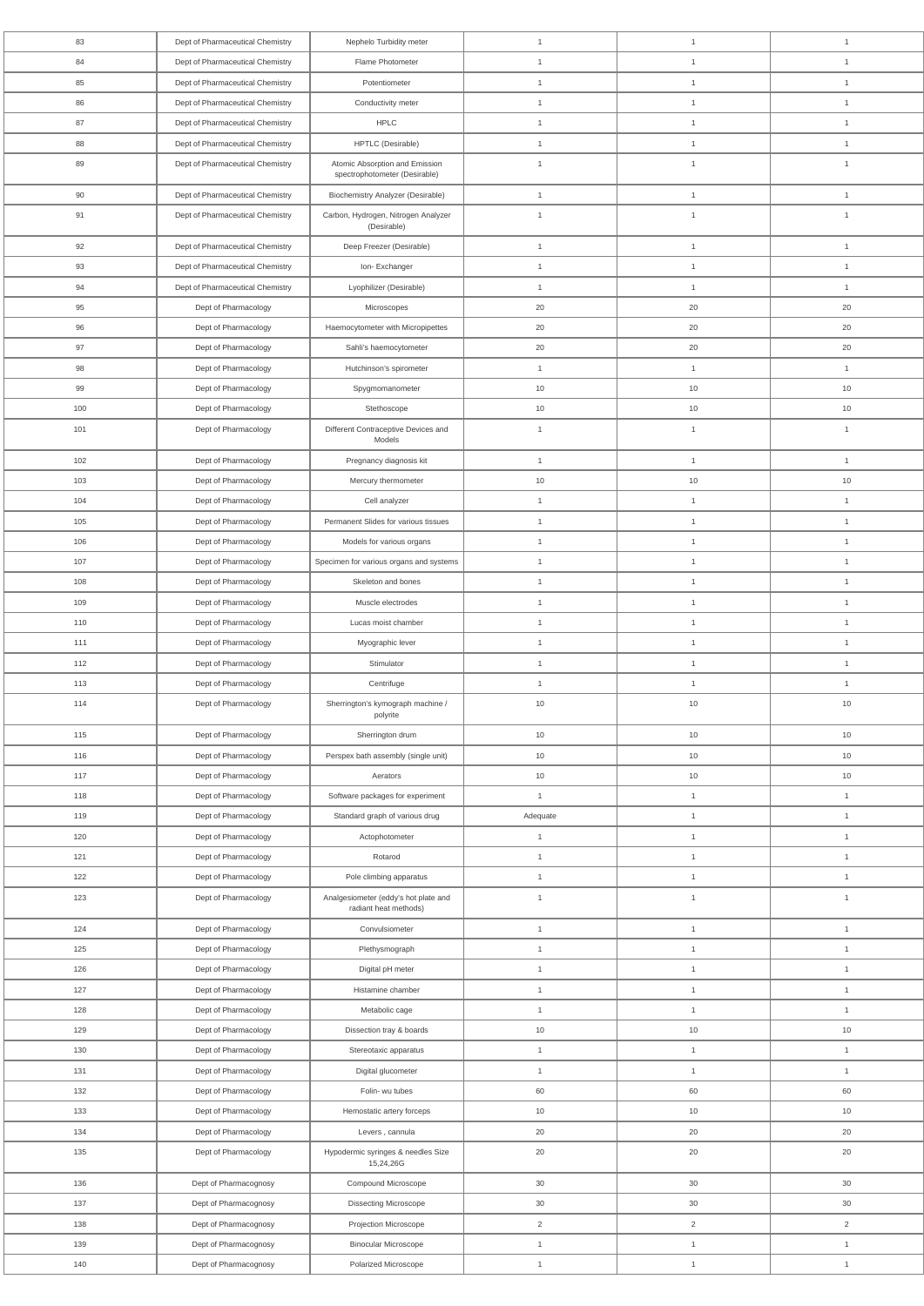| 83  | Dept of Pharmaceutical Chemistry | Nephelo Turbidity meter                                         | $\mathbf{1}$   | $\overline{1}$ | $\overline{1}$ |
|-----|----------------------------------|-----------------------------------------------------------------|----------------|----------------|----------------|
| 84  | Dept of Pharmaceutical Chemistry | Flame Photometer                                                | $\overline{1}$ | $\overline{1}$ | $\overline{1}$ |
| 85  | Dept of Pharmaceutical Chemistry | Potentiometer                                                   | $\overline{1}$ | $\overline{1}$ | $\overline{1}$ |
| 86  | Dept of Pharmaceutical Chemistry | Conductivity meter                                              | $\overline{1}$ | $\mathbf{1}$   | $\overline{1}$ |
| 87  | Dept of Pharmaceutical Chemistry | <b>HPLC</b>                                                     | $\overline{1}$ | $\mathbf{1}$   | $\overline{1}$ |
| 88  | Dept of Pharmaceutical Chemistry | HPTLC (Desirable)                                               | $\overline{1}$ | $\overline{1}$ | $\overline{1}$ |
| 89  | Dept of Pharmaceutical Chemistry | Atomic Absorption and Emission<br>spectrophotometer (Desirable) | $\overline{1}$ | $\mathbf{1}$   | $\overline{1}$ |
| 90  | Dept of Pharmaceutical Chemistry | <b>Biochemistry Analyzer (Desirable)</b>                        | $\overline{1}$ | $\overline{1}$ | $\overline{1}$ |
| 91  | Dept of Pharmaceutical Chemistry | Carbon, Hydrogen, Nitrogen Analyzer<br>(Desirable)              | $\mathbf{1}$   | 1              | $\overline{1}$ |
| 92  | Dept of Pharmaceutical Chemistry | Deep Freezer (Desirable)                                        | $\overline{1}$ | $\overline{1}$ | $\overline{1}$ |
| 93  | Dept of Pharmaceutical Chemistry | Ion-Exchanger                                                   | $\overline{1}$ | $\overline{1}$ | $\overline{1}$ |
| 94  | Dept of Pharmaceutical Chemistry | Lyophilizer (Desirable)                                         | $\overline{1}$ | $\overline{1}$ | $\overline{1}$ |
| 95  | Dept of Pharmacology             | Microscopes                                                     | 20             | 20             | 20             |
| 96  | Dept of Pharmacology             | Haemocytometer with Micropipettes                               | 20             | 20             | 20             |
| 97  | Dept of Pharmacology             | Sahli's haemocytometer                                          | 20             | 20             | 20             |
| 98  | Dept of Pharmacology             | Hutchinson's spirometer                                         | $\mathbf{1}$   | $\mathbf{1}$   | $\mathbf{1}$   |
| 99  | Dept of Pharmacology             | Spygmomanometer                                                 | 10             | 10             | 10             |
| 100 | Dept of Pharmacology             | Stethoscope                                                     | 10             | 10             | 10             |
| 101 | Dept of Pharmacology             | Different Contraceptive Devices and<br>Models                   | $\overline{1}$ | $\mathbf{1}$   | $\overline{1}$ |
| 102 | Dept of Pharmacology             | Pregnancy diagnosis kit                                         | $\overline{1}$ | $\mathbf{1}$   | $\overline{1}$ |
| 103 | Dept of Pharmacology             | Mercury thermometer                                             | 10             | 10             | 10             |
| 104 | Dept of Pharmacology             | Cell analyzer                                                   | $\overline{1}$ | $\mathbf{1}$   | $\mathbf{1}$   |
| 105 | Dept of Pharmacology             | Permanent Slides for various tissues                            | $\overline{1}$ | $\mathbf{1}$   | $\overline{1}$ |
| 106 | Dept of Pharmacology             | Models for various organs                                       | $\mathbf{1}$   | $\mathbf{1}$   | $\mathbf{1}$   |
| 107 | Dept of Pharmacology             | Specimen for various organs and systems                         | $\overline{1}$ | $\mathbf{1}$   | $\mathbf{1}$   |
| 108 | Dept of Pharmacology             | Skeleton and bones                                              | $\mathbf{1}$   | $\overline{1}$ | $\overline{1}$ |
| 109 | Dept of Pharmacology             | Muscle electrodes                                               | $\mathbf{1}$   | $\overline{1}$ | $\overline{1}$ |
| 110 | Dept of Pharmacology             | Lucas moist chamber                                             | $\mathbf{1}$   | $\overline{1}$ | $\overline{1}$ |
| 111 | Dept of Pharmacology             | Myographic lever                                                | $\mathbf{1}$   | $\overline{1}$ | $\overline{1}$ |
| 112 | Dept of Pharmacology             | Stimulator                                                      | $\overline{1}$ | $\mathbf{1}$   | $\mathbf{1}$   |
| 113 | Dept of Pharmacology             | Centrifuge                                                      | $\overline{1}$ | $\mathbf{1}$   | $\overline{1}$ |
| 114 | Dept of Pharmacology             | Sherrington's kymograph machine /<br>polyrite                   | 10             | 10             | 10             |
| 115 | Dept of Pharmacology             | Sherrington drum                                                | 10             | 10             | $10\,$         |
| 116 | Dept of Pharmacology             | Perspex bath assembly (single unit)                             | 10             | 10             | 10             |
| 117 | Dept of Pharmacology             | Aerators                                                        | 10             | 10             | 10             |
| 118 | Dept of Pharmacology             | Software packages for experiment                                | $\overline{1}$ | $\mathbf{1}$   | $\mathbf{1}$   |
| 119 | Dept of Pharmacology             | Standard graph of various drug                                  | Adequate       | $\overline{1}$ | $\overline{1}$ |
| 120 | Dept of Pharmacology             | Actophotometer                                                  | $\mathbf{1}$   | $\mathbf{1}$   | $\overline{1}$ |
| 121 | Dept of Pharmacology             | Rotarod                                                         | $\mathbf{1}$   | $\mathbf{1}$   | $\overline{1}$ |
| 122 | Dept of Pharmacology             | Pole climbing apparatus                                         | $\overline{1}$ | $\mathbf{1}$   | $\mathbf{1}$   |
| 123 | Dept of Pharmacology             | Analgesiometer (eddy's hot plate and<br>radiant heat methods)   | $\mathbf{1}$   | $\mathbf{1}$   | $\overline{1}$ |
| 124 | Dept of Pharmacology             | Convulsiometer                                                  | $\mathbf{1}$   | $\mathbf{1}$   | $\overline{1}$ |
| 125 | Dept of Pharmacology             | Plethysmograph                                                  | $\overline{1}$ | $\mathbf{1}$   | $\mathbf{1}$   |
| 126 | Dept of Pharmacology             | Digital pH meter                                                | $\overline{1}$ | $\mathbf{1}$   | $\mathbf{1}$   |
| 127 | Dept of Pharmacology             | Histamine chamber                                               | $\overline{1}$ | $\mathbf{1}$   | $\overline{1}$ |
| 128 | Dept of Pharmacology             | Metabolic cage                                                  | $\overline{1}$ | $\overline{1}$ | $\overline{1}$ |
| 129 | Dept of Pharmacology             | Dissection tray & boards                                        | 10             | 10             | $10$           |
| 130 | Dept of Pharmacology             | Stereotaxic apparatus                                           | $\mathbf{1}$   | $\mathbf{1}$   | $\mathbf{1}$   |
| 131 | Dept of Pharmacology             | Digital glucometer                                              | $\mathbf{1}$   | $\mathbf{1}$   | $\mathbf{1}$   |
| 132 | Dept of Pharmacology             | Folin- wu tubes                                                 | 60             | 60             | 60             |
| 133 | Dept of Pharmacology             | Hemostatic artery forceps                                       | 10             | 10             | 10             |
| 134 | Dept of Pharmacology             | Levers, cannula                                                 | $20\,$         | 20             | $20\,$         |
| 135 | Dept of Pharmacology             | Hypodermic syringes & needles Size<br>15,24,26G                 | $20\,$         | $20\,$         | 20             |
| 136 | Dept of Pharmacognosy            | Compound Microscope                                             | $30\,$         | 30             | $30\,$         |
| 137 | Dept of Pharmacognosy            | <b>Dissecting Microscope</b>                                    | $30\,$         | 30             | $30\,$         |
| 138 | Dept of Pharmacognosy            | Projection Microscope                                           | $\overline{2}$ | $\overline{2}$ | $\overline{2}$ |
| 139 | Dept of Pharmacognosy            | <b>Binocular Microscope</b>                                     | $\mathbf{1}$   | $\mathbf{1}$   | $\mathbf{1}$   |
| 140 | Dept of Pharmacognosy            | Polarized Microscope                                            | $\mathbf{1}$   | $\mathbf{1}$   | $\mathbf{1}$   |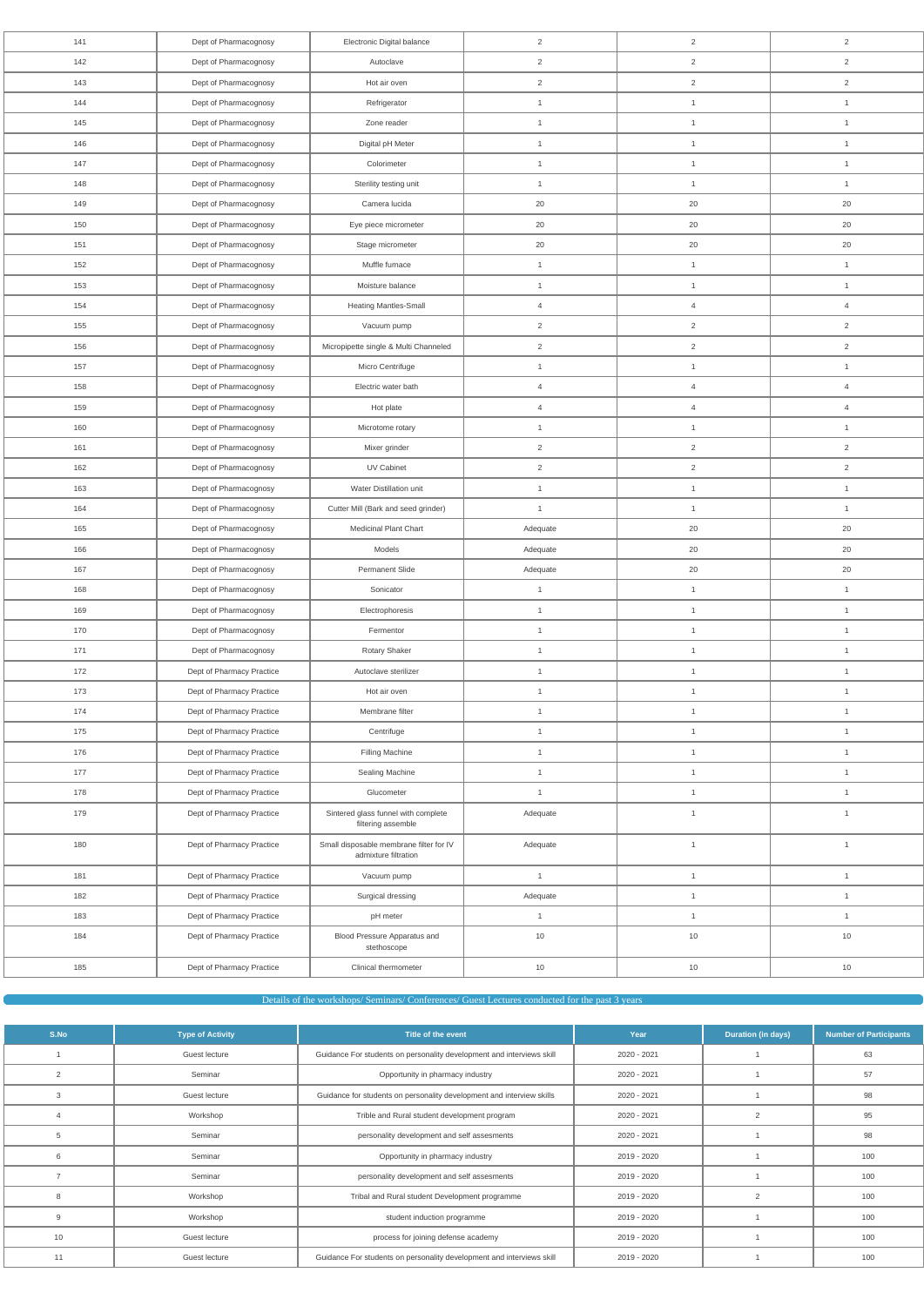| 141 | Dept of Pharmacognosy     | Electronic Digital balance                                      | $\overline{2}$ | $\overline{2}$ | $\overline{2}$ |
|-----|---------------------------|-----------------------------------------------------------------|----------------|----------------|----------------|
| 142 | Dept of Pharmacognosy     | Autoclave                                                       | $\overline{2}$ | $\overline{2}$ | $\overline{2}$ |
| 143 | Dept of Pharmacognosy     | Hot air oven                                                    | 2              | $\overline{a}$ | $\overline{2}$ |
| 144 | Dept of Pharmacognosy     | Refrigerator                                                    | $\mathbf{1}$   | $\mathbf{1}$   | $\mathbf{1}$   |
| 145 | Dept of Pharmacognosy     | Zone reader                                                     | $\mathbf{1}$   | $\mathbf{1}$   | $\mathbf{1}$   |
| 146 | Dept of Pharmacognosy     | Digital pH Meter                                                | $\mathbf{1}$   | $\mathbf{1}$   | $\mathbf{1}$   |
| 147 | Dept of Pharmacognosy     | Colorimeter                                                     | $\mathbf{1}$   | $\mathbf{1}$   | $\mathbf{1}$   |
| 148 | Dept of Pharmacognosy     | Sterility testing unit                                          | $\mathbf{1}$   | $\mathbf{1}$   | $\mathbf{1}$   |
| 149 | Dept of Pharmacognosy     | Camera lucida                                                   | 20             | 20             | 20             |
| 150 | Dept of Pharmacognosy     | Eye piece micrometer                                            | 20             | 20             | 20             |
| 151 | Dept of Pharmacognosy     | Stage micrometer                                                | 20             | 20             | 20             |
| 152 | Dept of Pharmacognosy     | Muffle furnace                                                  | $\mathbf{1}$   | $\mathbf{1}$   | $\mathbf{1}$   |
| 153 | Dept of Pharmacognosy     | Moisture balance                                                | $\mathbf{1}$   | $\mathbf{1}$   | $\mathbf{1}$   |
| 154 | Dept of Pharmacognosy     | <b>Heating Mantles-Small</b>                                    | $\overline{4}$ | $\overline{4}$ | $\overline{4}$ |
| 155 | Dept of Pharmacognosy     | Vacuum pump                                                     | 2              | $\overline{2}$ | 2              |
| 156 | Dept of Pharmacognosy     | Micropipette single & Multi Channeled                           | $\overline{c}$ | $\overline{2}$ | $\overline{2}$ |
| 157 | Dept of Pharmacognosy     | Micro Centrifuge                                                | $\mathbf{1}$   | $\mathbf{1}$   | $\mathbf{1}$   |
| 158 | Dept of Pharmacognosy     | Electric water bath                                             | $\overline{4}$ | $\overline{4}$ | $\overline{4}$ |
| 159 | Dept of Pharmacognosy     | Hot plate                                                       | $\overline{4}$ | $\overline{4}$ | $\overline{4}$ |
| 160 | Dept of Pharmacognosy     | Microtome rotary                                                | $\mathbf{1}$   | $\mathbf{1}$   | $\mathbf{1}$   |
| 161 | Dept of Pharmacognosy     | Mixer grinder                                                   | 2              | $\overline{2}$ | $\overline{2}$ |
| 162 | Dept of Pharmacognosy     | UV Cabinet                                                      | $\overline{2}$ | $\overline{2}$ | $\overline{2}$ |
| 163 | Dept of Pharmacognosy     | Water Distillation unit                                         | $\mathbf{1}$   | $\mathbf{1}$   | $\mathbf{1}$   |
| 164 | Dept of Pharmacognosy     | Cutter Mill (Bark and seed grinder)                             | $\mathbf{1}$   | $\mathbf{1}$   | $\mathbf{1}$   |
| 165 | Dept of Pharmacognosy     | Medicinal Plant Chart                                           | Adequate       | 20             | 20             |
| 166 | Dept of Pharmacognosy     | Models                                                          | Adequate       | 20             | 20             |
| 167 | Dept of Pharmacognosy     | <b>Permanent Slide</b>                                          | Adequate       | 20             | 20             |
| 168 | Dept of Pharmacognosy     | Sonicator                                                       | $\mathbf{1}$   | $\mathbf{1}$   | $\mathbf{1}$   |
| 169 | Dept of Pharmacognosy     | Electrophoresis                                                 | $\mathbf{1}$   | $\mathbf{1}$   | $\mathbf{1}$   |
| 170 | Dept of Pharmacognosy     | Fermentor                                                       | $\mathbf{1}$   | $\mathbf{1}$   | $\mathbf{1}$   |
| 171 | Dept of Pharmacognosy     | Rotary Shaker                                                   | $\mathbf{1}$   | $\mathbf{1}$   | $\mathbf{1}$   |
| 172 | Dept of Pharmacy Practice | Autoclave sterilizer                                            | $\mathbf{1}$   | $\mathbf{1}$   | $\mathbf{1}$   |
| 173 | Dept of Pharmacy Practice | Hot air oven                                                    | $\mathbf{1}$   | $\mathbf{1}$   | $\mathbf{1}$   |
| 174 | Dept of Pharmacy Practice | Membrane filter                                                 | $\mathbf{1}$   | $\mathbf{1}$   | $\mathbf{1}$   |
| 175 | Dept of Pharmacy Practice | Centrifuge                                                      | $\mathbf{1}$   | $\mathbf{1}$   | $\mathbf{1}$   |
| 176 | Dept of Pharmacy Practice | Filling Machine                                                 | $\mathbf{1}$   | $\mathbf{1}$   | $\overline{1}$ |
| 177 | Dept of Pharmacy Practice | Sealing Machine                                                 | $\mathbf{1}$   | $\mathbf{1}$   | $\mathbf{1}$   |
| 178 | Dept of Pharmacy Practice | Glucometer                                                      | $\mathbf{1}$   | $\mathbf{1}$   | $\mathbf{1}$   |
| 179 | Dept of Pharmacy Practice | Sintered glass funnel with complete<br>filtering assemble       | Adequate       | $\mathbf{1}$   | $\mathbf{1}$   |
| 180 | Dept of Pharmacy Practice | Small disposable membrane filter for IV<br>admixture filtration | Adequate       | $\mathbf{1}$   | $\mathbf{1}$   |
| 181 | Dept of Pharmacy Practice | Vacuum pump                                                     | $\mathbf{1}$   | $\mathbf{1}$   | $\mathbf{1}$   |
| 182 | Dept of Pharmacy Practice | Surgical dressing                                               | Adequate       | $\mathbf{1}$   | $\mathbf{1}$   |
| 183 | Dept of Pharmacy Practice | pH meter                                                        | $\mathbf{1}$   | $\mathbf{1}$   | $\mathbf{1}$   |
| 184 | Dept of Pharmacy Practice | Blood Pressure Apparatus and<br>stethoscope                     | 10             | 10             | $10$           |
| 185 | Dept of Pharmacy Practice | Clinical thermometer                                            | $10$           | 10             | $10$           |

Details of the workshops/ Seminars/ Conferences/ Guest Lectures conducted for the past 3 years

| S.No | <b>Type of Activity</b> | Title of the event                                                    | Year        | <b>Duration (in days)</b> | <b>Number of Participants</b> |
|------|-------------------------|-----------------------------------------------------------------------|-------------|---------------------------|-------------------------------|
|      | Guest lecture           | Guidance For students on personality development and interviews skill | 2020 - 2021 |                           | 63                            |
| 2    | Seminar                 | Opportunity in pharmacy industry                                      | 2020 - 2021 |                           | 57                            |
| 3    | Guest lecture           | Guidance for students on personality development and interview skills | 2020 - 2021 |                           | 98                            |
|      | Workshop                | Trible and Rural student development program                          | 2020 - 2021 | 2                         | 95                            |
| 5    | Seminar                 | personality development and self assesments                           | 2020 - 2021 |                           | 98                            |
| 6    | Seminar                 | Opportunity in pharmacy industry                                      | 2019 - 2020 |                           | 100                           |
|      | Seminar                 | personality development and self assesments                           | 2019 - 2020 |                           | 100                           |
|      | Workshop                | Tribal and Rural student Development programme                        | 2019 - 2020 | $\overline{2}$            | 100                           |
| 9    | Workshop                | student induction programme                                           | 2019 - 2020 |                           | 100                           |
| 10   | Guest lecture           | process for joining defense academy                                   | 2019 - 2020 |                           | 100                           |
| 11   | Guest lecture           | Guidance For students on personality development and interviews skill | 2019 - 2020 |                           | 100                           |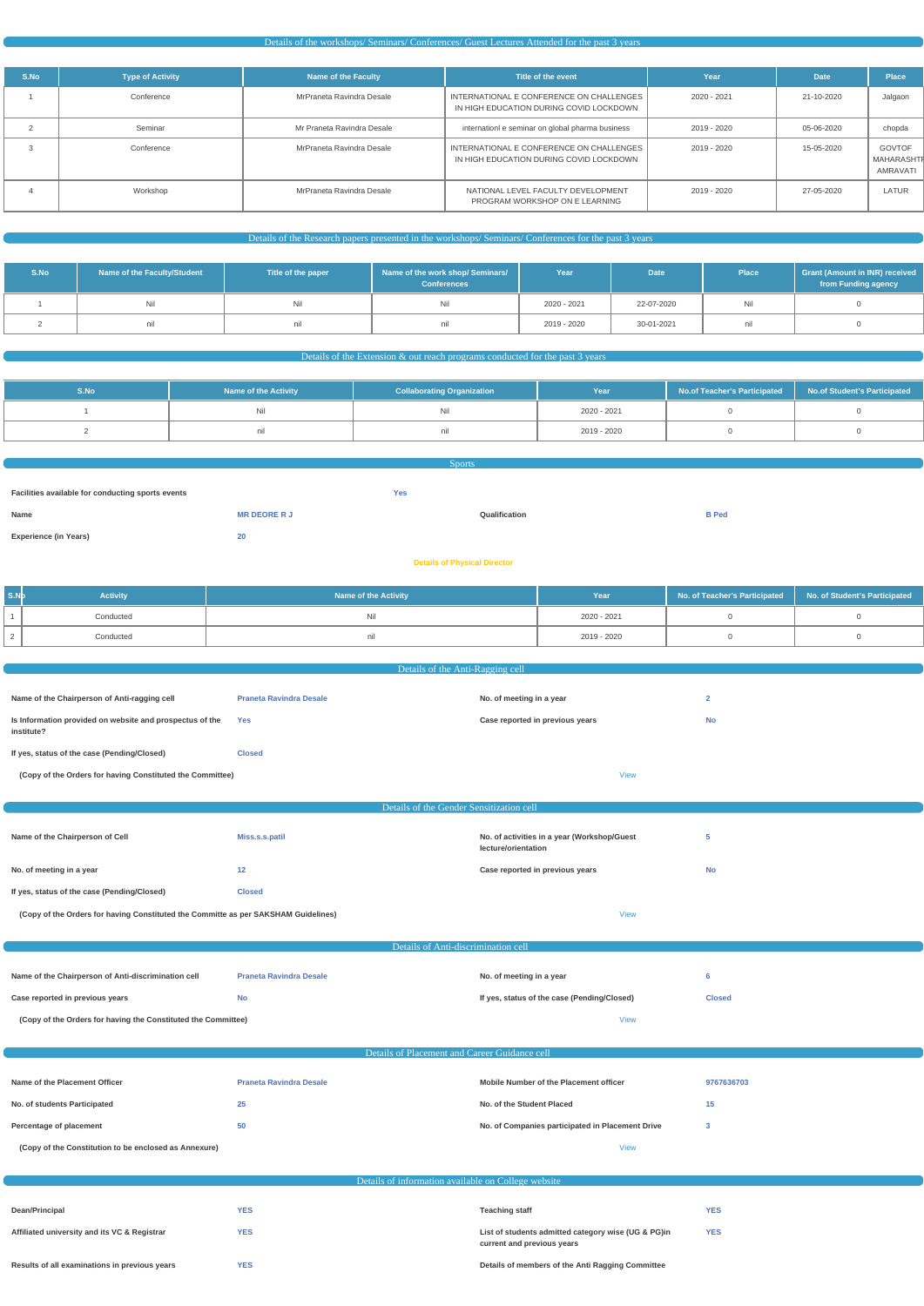#### Details of the workshops/ Seminars/ Conferences/ Guest Lectures Attended for the past 3 years

| S.No | <b>Type of Activity</b> | Name of the Faculty        | Title of the event                                                                  | Year        | <b>Date</b> | <b>Place</b>                            |
|------|-------------------------|----------------------------|-------------------------------------------------------------------------------------|-------------|-------------|-----------------------------------------|
|      | Conference              | MrPraneta Ravindra Desale  | INTERNATIONAL E CONFERENCE ON CHALLENGES<br>IN HIGH EDUCATION DURING COVID LOCKDOWN | 2020 - 2021 | 21-10-2020  | Jalgaon                                 |
|      | Seminar                 | Mr Praneta Ravindra Desale | internation e seminar on global pharma business                                     | 2019 - 2020 | 05-06-2020  | chopda                                  |
|      | Conference              | MrPraneta Ravindra Desale  | INTERNATIONAL E CONFERENCE ON CHALLENGES<br>IN HIGH EDUCATION DURING COVID LOCKDOWN | 2019 - 2020 | 15-05-2020  | <b>GOVTOF</b><br>MAHARASHTF<br>AMRAVATI |
|      | Workshop                | MrPraneta Ravindra Desale  | NATIONAL LEVEL FACULTY DEVELOPMENT<br>PROGRAM WORKSHOP ON E LEARNING                | 2019 - 2020 | 27-05-2020  | LATUR                                   |

# Details of the Research papers presented in the workshops/ Seminars/ Conferences for the past 3 years

| S.No | Name of the Faculty/Student | Title of the paper | Name of the work shop/ Seminars/<br><b>Conferences</b> | Year        | <b>Date</b> | <b>Place</b> | <b>Grant (Amount in INR) received</b><br>from Funding agency |
|------|-----------------------------|--------------------|--------------------------------------------------------|-------------|-------------|--------------|--------------------------------------------------------------|
|      |                             |                    | Nil                                                    | 2020 - 2021 | 22-07-2020  | Nil          |                                                              |
|      | nıl                         |                    |                                                        | 2019 - 2020 | 30-01-2021  | nıı          |                                                              |

#### Details of the Extension & out reach programs conducted for the past 3 years

| S.No | <b>Name of the Activity</b> | <b>Collaborating Organization</b> | Year        | No.of Teacher's Participated   No.of Student's Participated |  |
|------|-----------------------------|-----------------------------------|-------------|-------------------------------------------------------------|--|
|      |                             |                                   | 2020 - 2021 |                                                             |  |
|      |                             | nıl                               | 2019 - 2020 |                                                             |  |

| <b>Sports</b>                                     |                     |            |               |              |  |  |  |
|---------------------------------------------------|---------------------|------------|---------------|--------------|--|--|--|
|                                                   |                     |            |               |              |  |  |  |
| Facilities available for conducting sports events |                     | <b>Yes</b> |               |              |  |  |  |
| Name                                              | <b>MR DEORE R J</b> |            | Qualification | <b>B</b> Ped |  |  |  |
| <b>Experience (in Years)</b>                      | 20                  |            |               |              |  |  |  |
|                                                   |                     |            |               |              |  |  |  |

#### **Details of Physical Director**

| S.Nb | <b>Activity</b> | <b>Name of the Activity</b> | Year        | No. of Teacher's Participated   No. of Student's Participated |  |
|------|-----------------|-----------------------------|-------------|---------------------------------------------------------------|--|
|      | Conducted       |                             | 2020 - 2021 |                                                               |  |
|      | Conducted       |                             | 2019 - 2020 |                                                               |  |

|                                                                                    | Details of the Anti-Ragging cell         |                                                                    |                |  |  |  |
|------------------------------------------------------------------------------------|------------------------------------------|--------------------------------------------------------------------|----------------|--|--|--|
| Name of the Chairperson of Anti-ragging cell                                       | <b>Praneta Ravindra Desale</b>           | No. of meeting in a year                                           | $\overline{2}$ |  |  |  |
| Is Information provided on website and prospectus of the<br>institute?             | Yes                                      | Case reported in previous years                                    | <b>No</b>      |  |  |  |
| If yes, status of the case (Pending/Closed)                                        | <b>Closed</b>                            |                                                                    |                |  |  |  |
| (Copy of the Orders for having Constituted the Committee)                          |                                          | <b>View</b>                                                        |                |  |  |  |
|                                                                                    |                                          |                                                                    |                |  |  |  |
|                                                                                    | Details of the Gender Sensitization cell |                                                                    |                |  |  |  |
| Name of the Chairperson of Cell                                                    | Miss.s.s.patil                           | No. of activities in a year (Workshop/Guest<br>lecture/orientation | 5              |  |  |  |
| No. of meeting in a year                                                           | 12                                       | Case reported in previous years                                    | <b>No</b>      |  |  |  |
| If yes, status of the case (Pending/Closed)                                        | <b>Closed</b>                            |                                                                    |                |  |  |  |
| (Copy of the Orders for having Constituted the Committe as per SAKSHAM Guidelines) |                                          | <b>View</b>                                                        |                |  |  |  |
| Details of Anti-discrimination cell                                                |                                          |                                                                    |                |  |  |  |

|  |  | Case reported in previous years |  |
|--|--|---------------------------------|--|
|  |  |                                 |  |

**Case Reports If yes, status of the case (Pending/Closed) Closed** 

**(Copy of the Orders for having the Constituted the Committee)** [View](https://dgpm.nic.in/institute/getmongoPdfFile.do?renreceiptid=24e709c0-11bd-4ad8-96e3-78ce3d4b4c9d&tablename=antidiscrimination)

Details of Placement and Career Guidance cell

| Name of the Placement Officer                         | <b>Praneta Ravindra Desale</b> | Mobile Number of the Placement officer           | 9767636703 |
|-------------------------------------------------------|--------------------------------|--------------------------------------------------|------------|
| No. of students Participated                          |                                | No. of the Student Placed                        | 15         |
| Percentage of placement                               | 50                             | No. of Companies participated in Placement Drive |            |
| (Copy of the Constitution to be enclosed as Annexure) |                                | <b>View</b>                                      |            |

|  |  | Details of information available on College website |
|--|--|-----------------------------------------------------|
|  |  |                                                     |

| Dean/Principal                                | YES | <b>Teaching staff</b>                                                             | <b>YES</b> |
|-----------------------------------------------|-----|-----------------------------------------------------------------------------------|------------|
| Affiliated university and its VC & Registrar  | YES | List of students admitted category wise (UG & PG)in<br>current and previous years | <b>YES</b> |
| Results of all examinations in previous years | YES | Details of members of the Anti Ragging Committee                                  |            |